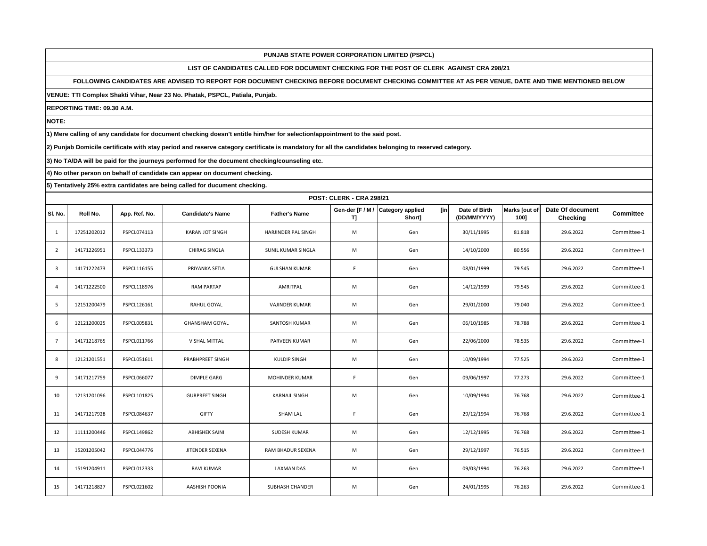# **LIST OF CANDIDATES CALLED FOR DOCUMENT CHECKING FOR THE POST OF CLERK AGAINST CRA 298/21**

## **FOLLOWING CANDIDATES ARE ADVISED TO REPORT FOR DOCUMENT CHECKING BEFORE DOCUMENT CHECKING COMMITTEE AT AS PER VENUE, DATE AND TIME MENTIONED BELOW**

**VENUE: TTI Complex Shakti Vihar, Near 23 No. Phatak, PSPCL, Patiala, Punjab.**

**REPORTING TIME: 09.30 A.M.**

**NOTE:**

**1) Mere calling of any candidate for document checking doesn't entitle him/her for selection/appointment to the said post.**

**2) Punjab Domicile certificate with stay period and reserve category certificate is mandatory for all the candidates belonging to reserved category.**

**3) No TA/DA will be paid for the journeys performed for the document checking/counseling etc.**

**4) No other person on behalf of candidate can appear on document checking.**

|                | <b>POST: CLERK - CRA 298/21</b> |               |                         |                        |                       |                                           |                               |                       |                                     |                  |  |  |
|----------------|---------------------------------|---------------|-------------------------|------------------------|-----------------------|-------------------------------------------|-------------------------------|-----------------------|-------------------------------------|------------------|--|--|
| SI. No.        | Roll No.                        | App. Ref. No. | <b>Candidate's Name</b> | <b>Father's Name</b>   | Gen-der [F / M /<br>ŋ | [in]<br><b>Category applied</b><br>Short] | Date of Birth<br>(DD/MM/YYYY) | Marks [out of<br>100] | Date Of document<br><b>Checking</b> | <b>Committee</b> |  |  |
| 1              | 17251202012                     | PSPCL074113   | <b>KARAN JOT SINGH</b>  | HARJINDER PAL SINGH    | M                     | Gen                                       | 30/11/1995                    | 81.818                | 29.6.2022                           | Committee-1      |  |  |
| $\overline{2}$ | 14171226951                     | PSPCL133373   | CHIRAG SINGLA           | SUNIL KUMAR SINGLA     | M                     | Gen                                       | 14/10/2000                    | 80.556                | 29.6.2022                           | Committee-1      |  |  |
| $\overline{3}$ | 14171222473                     | PSPCL116155   | PRIYANKA SETIA          | <b>GULSHAN KUMAR</b>   | F.                    | Gen                                       | 08/01/1999                    | 79.545                | 29.6.2022                           | Committee-1      |  |  |
| $\overline{4}$ | 14171222500                     | PSPCL118976   | <b>RAM PARTAP</b>       | AMRITPAL               | M                     | Gen                                       | 14/12/1999                    | 79.545                | 29.6.2022                           | Committee-1      |  |  |
| 5              | 12151200479                     | PSPCL126161   | RAHUL GOYAL             | <b>VAJINDER KUMAR</b>  | M                     | Gen                                       | 29/01/2000                    | 79.040                | 29.6.2022                           | Committee-1      |  |  |
| 6              | 12121200025                     | PSPCL005831   | <b>GHANSHAM GOYAL</b>   | SANTOSH KUMAR          | M                     | Gen                                       | 06/10/1985                    | 78.788                | 29.6.2022                           | Committee-1      |  |  |
| $\overline{7}$ | 14171218765                     | PSPCL011766   | <b>VISHAL MITTAL</b>    | PARVEEN KUMAR          | M                     | Gen                                       | 22/06/2000                    | 78.535                | 29.6.2022                           | Committee-1      |  |  |
| 8              | 12121201551                     | PSPCL051611   | PRABHPREET SINGH        | <b>KULDIP SINGH</b>    | M                     | Gen                                       | 10/09/1994                    | 77.525                | 29.6.2022                           | Committee-1      |  |  |
| 9              | 14171217759                     | PSPCL066077   | <b>DIMPLE GARG</b>      | <b>MOHINDER KUMAR</b>  | F.                    | Gen                                       | 09/06/1997                    | 77.273                | 29.6.2022                           | Committee-1      |  |  |
| 10             | 12131201096                     | PSPCL101825   | <b>GURPREET SINGH</b>   | <b>KARNAIL SINGH</b>   | M                     | Gen                                       | 10/09/1994                    | 76.768                | 29.6.2022                           | Committee-1      |  |  |
| 11             | 14171217928                     | PSPCL084637   | <b>GIFTY</b>            | <b>SHAM LAL</b>        | F.                    | Gen                                       | 29/12/1994                    | 76.768                | 29.6.2022                           | Committee-1      |  |  |
| 12             | 11111200446                     | PSPCL149862   | <b>ABHISHEK SAINI</b>   | SUDESH KUMAR           | M                     | Gen                                       | 12/12/1995                    | 76.768                | 29.6.2022                           | Committee-1      |  |  |
| 13             | 15201205042                     | PSPCL044776   | JITENDER SEXENA         | RAM BHADUR SEXENA      | M                     | Gen                                       | 29/12/1997                    | 76.515                | 29.6.2022                           | Committee-1      |  |  |
| 14             | 15191204911                     | PSPCL012333   | <b>RAVI KUMAR</b>       | <b>LAXMAN DAS</b>      | M                     | Gen                                       | 09/03/1994                    | 76.263                | 29.6.2022                           | Committee-1      |  |  |
| 15             | 14171218827                     | PSPCL021602   | AASHISH POONIA          | <b>SUBHASH CHANDER</b> | M                     | Gen                                       | 24/01/1995                    | 76.263                | 29.6.2022                           | Committee-1      |  |  |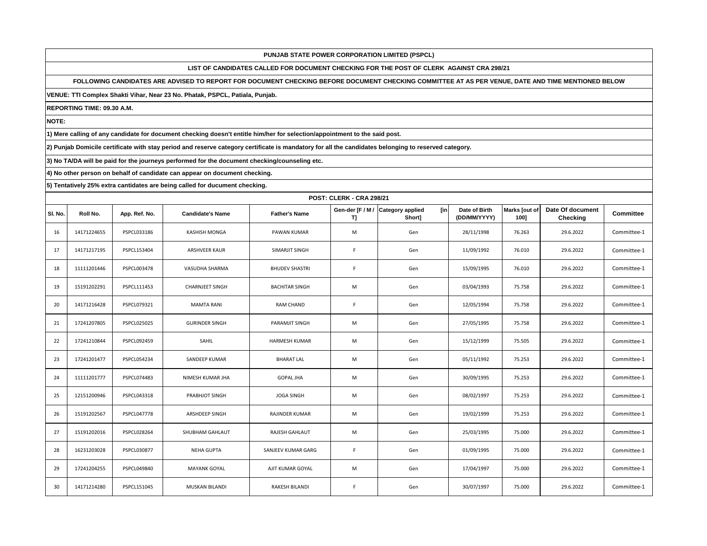# **LIST OF CANDIDATES CALLED FOR DOCUMENT CHECKING FOR THE POST OF CLERK AGAINST CRA 298/21**

## **FOLLOWING CANDIDATES ARE ADVISED TO REPORT FOR DOCUMENT CHECKING BEFORE DOCUMENT CHECKING COMMITTEE AT AS PER VENUE, DATE AND TIME MENTIONED BELOW**

**VENUE: TTI Complex Shakti Vihar, Near 23 No. Phatak, PSPCL, Patiala, Punjab.**

**REPORTING TIME: 09.30 A.M.**

**NOTE:**

**1) Mere calling of any candidate for document checking doesn't entitle him/her for selection/appointment to the said post.**

**2) Punjab Domicile certificate with stay period and reserve category certificate is mandatory for all the candidates belonging to reserved category.**

**3) No TA/DA will be paid for the journeys performed for the document checking/counseling etc.**

**4) No other person on behalf of candidate can appear on document checking.**

|         | <b>POST: CLERK - CRA 298/21</b> |                    |                         |                       |                       |                                                 |                               |                       |                              |                  |  |  |
|---------|---------------------------------|--------------------|-------------------------|-----------------------|-----------------------|-------------------------------------------------|-------------------------------|-----------------------|------------------------------|------------------|--|--|
| SI. No. | Roll No.                        | App. Ref. No.      | <b>Candidate's Name</b> | <b>Father's Name</b>  | Gen-der [F / M /<br>ŋ | <b>Category applied</b><br><b>fin</b><br>Short] | Date of Birth<br>(DD/MM/YYYY) | Marks [out of<br>100] | Date Of document<br>Checking | <b>Committee</b> |  |  |
| 16      | 14171224655                     | PSPCL033186        | KASHISH MONGA           | PAWAN KUMAR           | M                     | Gen                                             | 28/11/1998                    | 76.263                | 29.6.2022                    | Committee-1      |  |  |
| 17      | 14171217195                     | PSPCL153404        | <b>ARSHVEER KAUR</b>    | SIMARJIT SINGH        | F.                    | Gen                                             | 11/09/1992                    | 76.010                | 29.6.2022                    | Committee-1      |  |  |
| 18      | 11111201446                     | PSPCL003478        | VASUDHA SHARMA          | <b>BHUDEV SHASTRI</b> | F.                    | Gen                                             | 15/09/1995                    | 76.010                | 29.6.2022                    | Committee-1      |  |  |
| 19      | 15191202291                     | PSPCL111453        | <b>CHARNJEET SINGH</b>  | <b>BACHITAR SINGH</b> | M                     | Gen                                             | 03/04/1993                    | 75.758                | 29.6.2022                    | Committee-1      |  |  |
| 20      | 14171216428                     | PSPCL079321        | <b>MAMTA RANI</b>       | <b>RAM CHAND</b>      | F.                    | Gen                                             | 12/05/1994                    | 75.758                | 29.6.2022                    | Committee-1      |  |  |
| 21      | 17241207805                     | PSPCL025025        | <b>GURINDER SINGH</b>   | PARAMJIT SINGH        | M                     | Gen                                             | 27/05/1995                    | 75.758                | 29.6.2022                    | Committee-1      |  |  |
| 22      | 17241210844                     | PSPCL092459        | SAHIL                   | HARMESH KUMAR         | M                     | Gen                                             | 15/12/1999                    | 75.505                | 29.6.2022                    | Committee-1      |  |  |
| 23      | 17241201477                     | PSPCL054234        | SANDEEP KUMAR           | <b>BHARAT LAL</b>     | M                     | Gen                                             | 05/11/1992                    | 75.253                | 29.6.2022                    | Committee-1      |  |  |
| 24      | 11111201777                     | PSPCL074483        | NIMESH KUMAR JHA        | <b>GOPAL JHA</b>      | M                     | Gen                                             | 30/09/1995                    | 75.253                | 29.6.2022                    | Committee-1      |  |  |
| 25      | 12151200946                     | PSPCL043318        | PRABHJOT SINGH          | <b>JOGA SINGH</b>     | M                     | Gen                                             | 08/02/1997                    | 75.253                | 29.6.2022                    | Committee-1      |  |  |
| 26      | 15191202567                     | <b>PSPCL047778</b> | ARSHDEEP SINGH          | RAJINDER KUMAR        | M                     | Gen                                             | 19/02/1999                    | 75.253                | 29.6.2022                    | Committee-1      |  |  |
| 27      | 15191202016                     | PSPCL028264        | SHUBHAM GAHLAUT         | RAJESH GAHLAUT        | M                     | Gen                                             | 25/03/1995                    | 75.000                | 29.6.2022                    | Committee-1      |  |  |
| 28      | 16231203028                     | PSPCL030877        | <b>NEHA GUPTA</b>       | SANJEEV KUMAR GARG    | F.                    | Gen                                             | 01/09/1995                    | 75.000                | 29.6.2022                    | Committee-1      |  |  |
| 29      | 17241204255                     | PSPCL049840        | <b>MAYANK GOYAL</b>     | AJIT KUMAR GOYAL      | M                     | Gen                                             | 17/04/1997                    | 75.000                | 29.6.2022                    | Committee-1      |  |  |
| 30      | 14171214280                     | PSPCL151045        | <b>MUSKAN BILANDI</b>   | <b>RAKESH BILANDI</b> | F                     | Gen                                             | 30/07/1997                    | 75.000                | 29.6.2022                    | Committee-1      |  |  |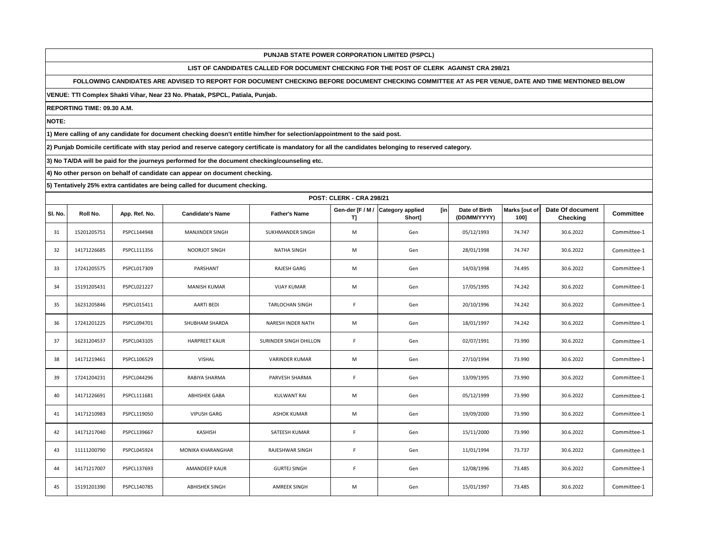# **LIST OF CANDIDATES CALLED FOR DOCUMENT CHECKING FOR THE POST OF CLERK AGAINST CRA 298/21**

# **FOLLOWING CANDIDATES ARE ADVISED TO REPORT FOR DOCUMENT CHECKING BEFORE DOCUMENT CHECKING COMMITTEE AT AS PER VENUE, DATE AND TIME MENTIONED BELOW**

**VENUE: TTI Complex Shakti Vihar, Near 23 No. Phatak, PSPCL, Patiala, Punjab.**

**REPORTING TIME: 09.30 A.M.**

**NOTE:**

**1) Mere calling of any candidate for document checking doesn't entitle him/her for selection/appointment to the said post.**

**2) Punjab Domicile certificate with stay period and reserve category certificate is mandatory for all the candidates belonging to reserved category.**

**3) No TA/DA will be paid for the journeys performed for the document checking/counseling etc.**

**4) No other person on behalf of candidate can appear on document checking.**

|         | <b>POST: CLERK - CRA 298/21</b> |               |                         |                          |                       |                                           |                               |                       |                                     |                  |  |  |
|---------|---------------------------------|---------------|-------------------------|--------------------------|-----------------------|-------------------------------------------|-------------------------------|-----------------------|-------------------------------------|------------------|--|--|
| SI. No. | Roll No.                        | App. Ref. No. | <b>Candidate's Name</b> | <b>Father's Name</b>     | Gen-der [F / M /<br>ŋ | [in]<br><b>Category applied</b><br>Short] | Date of Birth<br>(DD/MM/YYYY) | Marks [out of<br>100] | Date Of document<br><b>Checking</b> | <b>Committee</b> |  |  |
| 31      | 15201205751                     | PSPCL144948   | MANJINDER SINGH         | SUKHMANDER SINGH         | M                     | Gen                                       | 05/12/1993                    | 74.747                | 30.6.2022                           | Committee-1      |  |  |
| 32      | 14171226685                     | PSPCL111356   | <b>NOORJOT SINGH</b>    | <b>NATHA SINGH</b>       | M                     | Gen                                       | 28/01/1998                    | 74.747                | 30.6.2022                           | Committee-1      |  |  |
| 33      | 17241205575                     | PSPCL017309   | PARSHANT                | <b>RAJESH GARG</b>       | M                     | Gen                                       | 14/03/1998                    | 74.495                | 30.6.2022                           | Committee-1      |  |  |
| 34      | 15191205431                     | PSPCL021227   | MANISH KUMAR            | <b>VIJAY KUMAR</b>       | M                     | Gen                                       | 17/05/1995                    | 74.242                | 30.6.2022                           | Committee-1      |  |  |
| 35      | 16231205846                     | PSPCL015411   | <b>AARTI BEDI</b>       | <b>TARLOCHAN SINGH</b>   | F.                    | Gen                                       | 20/10/1996                    | 74.242                | 30.6.2022                           | Committee-1      |  |  |
| 36      | 17241201225                     | PSPCL094701   | SHUBHAM SHARDA          | <b>NARESH INDER NATH</b> | M                     | Gen                                       | 18/01/1997                    | 74.242                | 30.6.2022                           | Committee-1      |  |  |
| 37      | 16231204537                     | PSPCL043105   | <b>HARPREET KAUR</b>    | SURINDER SINGH DHILLON   | F.                    | Gen                                       | 02/07/1991                    | 73.990                | 30.6.2022                           | Committee-1      |  |  |
| 38      | 14171219461                     | PSPCL106529   | VISHAL                  | <b>VARINDER KUMAR</b>    | M                     | Gen                                       | 27/10/1994                    | 73.990                | 30.6.2022                           | Committee-1      |  |  |
| 39      | 17241204231                     | PSPCL044296   | RABIYA SHARMA           | PARVESH SHARMA           | F.                    | Gen                                       | 13/09/1995                    | 73.990                | 30.6.2022                           | Committee-1      |  |  |
| 40      | 14171226691                     | PSPCL111681   | <b>ABHISHEK GABA</b>    | <b>KULWANT RAI</b>       | M                     | Gen                                       | 05/12/1999                    | 73.990                | 30.6.2022                           | Committee-1      |  |  |
| 41      | 14171210983                     | PSPCL119050   | <b>VIPUSH GARG</b>      | <b>ASHOK KUMAR</b>       | M                     | Gen                                       | 19/09/2000                    | 73.990                | 30.6.2022                           | Committee-1      |  |  |
| 42      | 14171217040                     | PSPCL139667   | KASHISH                 | SATEESH KUMAR            | F.                    | Gen                                       | 15/11/2000                    | 73.990                | 30.6.2022                           | Committee-1      |  |  |
| 43      | 11111200790                     | PSPCL045924   | MONIKA KHARANGHAR       | RAJESHWAR SINGH          | F.                    | Gen                                       | 11/01/1994                    | 73.737                | 30.6.2022                           | Committee-1      |  |  |
| 44      | 14171217007                     | PSPCL137693   | <b>AMANDEEP KAUR</b>    | <b>GURTEJ SINGH</b>      | F                     | Gen                                       | 12/08/1996                    | 73.485                | 30.6.2022                           | Committee-1      |  |  |
| 45      | 15191201390                     | PSPCL140785   | <b>ABHISHEK SINGH</b>   | <b>AMREEK SINGH</b>      | M                     | Gen                                       | 15/01/1997                    | 73.485                | 30.6.2022                           | Committee-1      |  |  |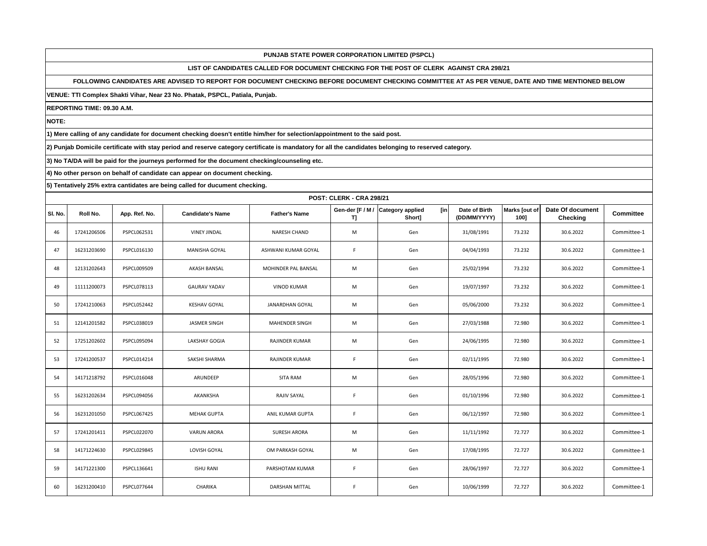# **LIST OF CANDIDATES CALLED FOR DOCUMENT CHECKING FOR THE POST OF CLERK AGAINST CRA 298/21**

# **FOLLOWING CANDIDATES ARE ADVISED TO REPORT FOR DOCUMENT CHECKING BEFORE DOCUMENT CHECKING COMMITTEE AT AS PER VENUE, DATE AND TIME MENTIONED BELOW**

**VENUE: TTI Complex Shakti Vihar, Near 23 No. Phatak, PSPCL, Patiala, Punjab.**

**REPORTING TIME: 09.30 A.M.**

**NOTE:**

**1) Mere calling of any candidate for document checking doesn't entitle him/her for selection/appointment to the said post.**

**2) Punjab Domicile certificate with stay period and reserve category certificate is mandatory for all the candidates belonging to reserved category.**

**3) No TA/DA will be paid for the journeys performed for the document checking/counseling etc.**

**4) No other person on behalf of candidate can appear on document checking.**

|         | <b>POST: CLERK - CRA 298/21</b> |                    |                         |                        |                        |                                          |                               |                       |                              |                  |  |  |
|---------|---------------------------------|--------------------|-------------------------|------------------------|------------------------|------------------------------------------|-------------------------------|-----------------------|------------------------------|------------------|--|--|
| SI. No. | Roll No.                        | App. Ref. No.      | <b>Candidate's Name</b> | <b>Father's Name</b>   | Gen-der [F / M /<br>T] | [in<br><b>Category applied</b><br>Short] | Date of Birth<br>(DD/MM/YYYY) | Marks [out of<br>100] | Date Of document<br>Checking | <b>Committee</b> |  |  |
| 46      | 17241206506                     | PSPCL062531        | <b>VINEY JINDAL</b>     | NARESH CHAND           | M                      | Gen                                      | 31/08/1991                    | 73.232                | 30.6.2022                    | Committee-1      |  |  |
| 47      | 16231203690                     | PSPCL016130        | <b>MANISHA GOYAL</b>    | ASHWANI KUMAR GOYAL    | F.                     | Gen                                      | 04/04/1993                    | 73.232                | 30.6.2022                    | Committee-1      |  |  |
| 48      | 12131202643                     | PSPCL009509        | AKASH BANSAL            | MOHINDER PAL BANSAL    | M                      | Gen                                      | 25/02/1994                    | 73.232                | 30.6.2022                    | Committee-1      |  |  |
| 49      | 11111200073                     | PSPCL078113        | <b>GAURAV YADAV</b>     | <b>VINOD KUMAR</b>     | M                      | Gen                                      | 19/07/1997                    | 73.232                | 30.6.2022                    | Committee-1      |  |  |
| 50      | 17241210063                     | PSPCL052442        | <b>KESHAV GOYAL</b>     | <b>JANARDHAN GOYAL</b> | M                      | Gen                                      | 05/06/2000                    | 73.232                | 30.6.2022                    | Committee-1      |  |  |
| 51      | 12141201582                     | PSPCL038019        | <b>JASMER SINGH</b>     | MAHENDER SINGH         | M                      | Gen                                      | 27/03/1988                    | 72.980                | 30.6.2022                    | Committee-1      |  |  |
| 52      | 17251202602                     | PSPCL095094        | <b>LAKSHAY GOGIA</b>    | RAJINDER KUMAR         | M                      | Gen                                      | 24/06/1995                    | 72.980                | 30.6.2022                    | Committee-1      |  |  |
| 53      | 17241200537                     | PSPCL014214        | SAKSHI SHARMA           | RAJINDER KUMAR         | F.                     | Gen                                      | 02/11/1995                    | 72.980                | 30.6.2022                    | Committee-1      |  |  |
| 54      | 14171218792                     | PSPCL016048        | ARUNDEEP                | SITA RAM               | M                      | Gen                                      | 28/05/1996                    | 72.980                | 30.6.2022                    | Committee-1      |  |  |
| 55      | 16231202634                     | PSPCL094056        | AKANKSHA                | RAJIV SAYAL            | F                      | Gen                                      | 01/10/1996                    | 72.980                | 30.6.2022                    | Committee-1      |  |  |
| 56      | 16231201050                     | <b>PSPCL067425</b> | <b>MEHAK GUPTA</b>      | ANIL KUMAR GUPTA       | F.                     | Gen                                      | 06/12/1997                    | 72.980                | 30.6.2022                    | Committee-1      |  |  |
| 57      | 17241201411                     | <b>PSPCL022070</b> | <b>VARUN ARORA</b>      | <b>SURESH ARORA</b>    | M                      | Gen                                      | 11/11/1992                    | 72.727                | 30.6.2022                    | Committee-1      |  |  |
| 58      | 14171224630                     | PSPCL029845        | LOVISH GOYAL            | OM PARKASH GOYAL       | M                      | Gen                                      | 17/08/1995                    | 72.727                | 30.6.2022                    | Committee-1      |  |  |
| 59      | 14171221300                     | PSPCL136641        | <b>ISHU RANI</b>        | PARSHOTAM KUMAR        | F.                     | Gen                                      | 28/06/1997                    | 72.727                | 30.6.2022                    | Committee-1      |  |  |
| 60      | 16231200410                     | PSPCL077644        | CHARIKA                 | <b>DARSHAN MITTAL</b>  | F                      | Gen                                      | 10/06/1999                    | 72.727                | 30.6.2022                    | Committee-1      |  |  |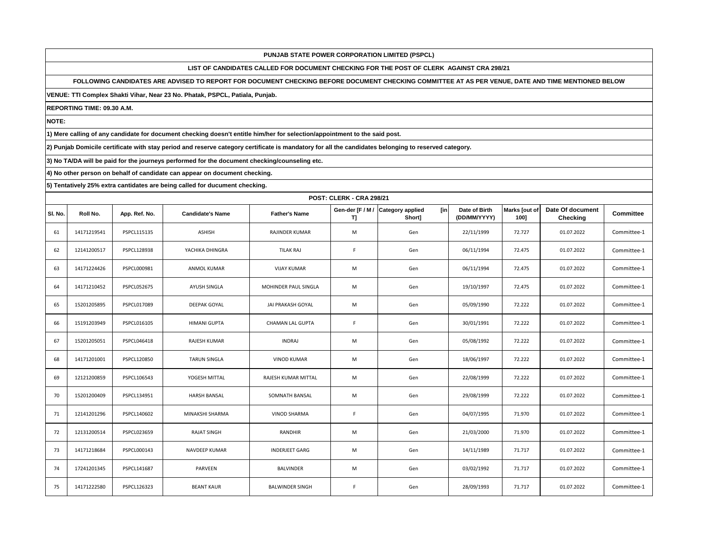# **LIST OF CANDIDATES CALLED FOR DOCUMENT CHECKING FOR THE POST OF CLERK AGAINST CRA 298/21**

## **FOLLOWING CANDIDATES ARE ADVISED TO REPORT FOR DOCUMENT CHECKING BEFORE DOCUMENT CHECKING COMMITTEE AT AS PER VENUE, DATE AND TIME MENTIONED BELOW**

**VENUE: TTI Complex Shakti Vihar, Near 23 No. Phatak, PSPCL, Patiala, Punjab.**

**REPORTING TIME: 09.30 A.M.**

**NOTE:**

**1) Mere calling of any candidate for document checking doesn't entitle him/her for selection/appointment to the said post.**

**2) Punjab Domicile certificate with stay period and reserve category certificate is mandatory for all the candidates belonging to reserved category.**

**3) No TA/DA will be paid for the journeys performed for the document checking/counseling etc.**

**4) No other person on behalf of candidate can appear on document checking.**

|         | <b>POST: CLERK - CRA 298/21</b> |               |                         |                         |                       |                                           |                               |                       |                                     |                  |  |  |
|---------|---------------------------------|---------------|-------------------------|-------------------------|-----------------------|-------------------------------------------|-------------------------------|-----------------------|-------------------------------------|------------------|--|--|
| SI. No. | Roll No.                        | App. Ref. No. | <b>Candidate's Name</b> | <b>Father's Name</b>    | Gen-der [F / M /<br>ŋ | [in]<br><b>Category applied</b><br>Short] | Date of Birth<br>(DD/MM/YYYY) | Marks [out of<br>100] | Date Of document<br><b>Checking</b> | <b>Committee</b> |  |  |
| 61      | 14171219541                     | PSPCL115135   | <b>ASHISH</b>           | RAJINDER KUMAR          | M                     | Gen                                       | 22/11/1999                    | 72.727                | 01.07.2022                          | Committee-1      |  |  |
| 62      | 12141200517                     | PSPCL128938   | YACHIKA DHINGRA         | TILAK RAJ               | F.                    | Gen                                       | 06/11/1994                    | 72.475                | 01.07.2022                          | Committee-1      |  |  |
| 63      | 14171224426                     | PSPCL000981   | <b>ANMOL KUMAR</b>      | <b>VIJAY KUMAR</b>      | M                     | Gen                                       | 06/11/1994                    | 72.475                | 01.07.2022                          | Committee-1      |  |  |
| 64      | 14171210452                     | PSPCL052675   | AYUSH SINGLA            | MOHINDER PAUL SINGLA    | M                     | Gen                                       | 19/10/1997                    | 72.475                | 01.07.2022                          | Committee-1      |  |  |
| 65      | 15201205895                     | PSPCL017089   | DEEPAK GOYAL            | JAI PRAKASH GOYAL       | M                     | Gen                                       | 05/09/1990                    | 72.222                | 01.07.2022                          | Committee-1      |  |  |
| 66      | 15191203949                     | PSPCL016105   | <b>HIMANI GUPTA</b>     | <b>CHAMAN LAL GUPTA</b> | F.                    | Gen                                       | 30/01/1991                    | 72.222                | 01.07.2022                          | Committee-1      |  |  |
| 67      | 15201205051                     | PSPCL046418   | <b>RAJESH KUMAR</b>     | <b>INDRAJ</b>           | M                     | Gen                                       | 05/08/1992                    | 72.222                | 01.07.2022                          | Committee-1      |  |  |
| 68      | 14171201001                     | PSPCL120850   | <b>TARUN SINGLA</b>     | <b>VINOD KUMAR</b>      | M                     | Gen                                       | 18/06/1997                    | 72.222                | 01.07.2022                          | Committee-1      |  |  |
| 69      | 12121200859                     | PSPCL106543   | YOGESH MITTAL           | RAJESH KUMAR MITTAL     | M                     | Gen                                       | 22/08/1999                    | 72.222                | 01.07.2022                          | Committee-1      |  |  |
| 70      | 15201200409                     | PSPCL134951   | <b>HARSH BANSAL</b>     | SOMNATH BANSAL          | M                     | Gen                                       | 29/08/1999                    | 72.222                | 01.07.2022                          | Committee-1      |  |  |
| 71      | 12141201296                     | PSPCL140602   | MINAKSHI SHARMA         | <b>VINOD SHARMA</b>     | F.                    | Gen                                       | 04/07/1995                    | 71.970                | 01.07.2022                          | Committee-1      |  |  |
| 72      | 12131200514                     | PSPCL023659   | <b>RAJAT SINGH</b>      | RANDHIR                 | M                     | Gen                                       | 21/03/2000                    | 71.970                | 01.07.2022                          | Committee-1      |  |  |
| 73      | 14171218684                     | PSPCL000143   | NAVDEEP KUMAR           | <b>INDERJEET GARG</b>   | M                     | Gen                                       | 14/11/1989                    | 71.717                | 01.07.2022                          | Committee-1      |  |  |
| 74      | 17241201345                     | PSPCL141687   | PARVEEN                 | <b>BALVINDER</b>        | M                     | Gen                                       | 03/02/1992                    | 71.717                | 01.07.2022                          | Committee-1      |  |  |
| 75      | 14171222580                     | PSPCL126323   | <b>BEANT KAUR</b>       | <b>BALWINDER SINGH</b>  | F                     | Gen                                       | 28/09/1993                    | 71.717                | 01.07.2022                          | Committee-1      |  |  |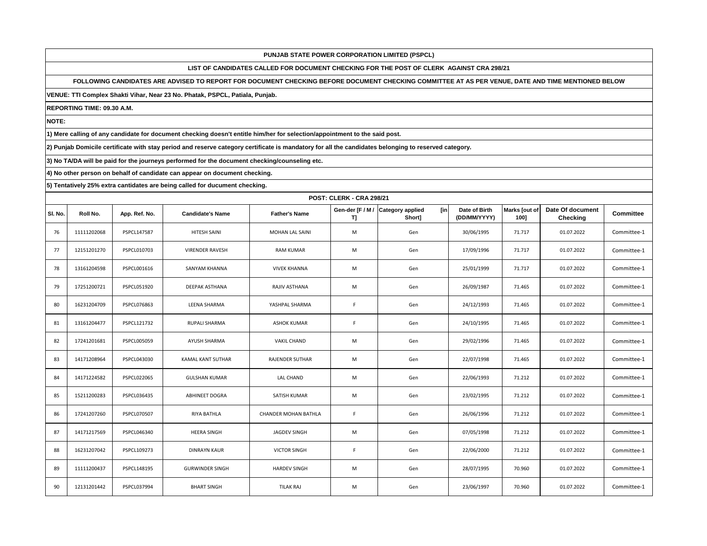# **LIST OF CANDIDATES CALLED FOR DOCUMENT CHECKING FOR THE POST OF CLERK AGAINST CRA 298/21**

# **FOLLOWING CANDIDATES ARE ADVISED TO REPORT FOR DOCUMENT CHECKING BEFORE DOCUMENT CHECKING COMMITTEE AT AS PER VENUE, DATE AND TIME MENTIONED BELOW**

**VENUE: TTI Complex Shakti Vihar, Near 23 No. Phatak, PSPCL, Patiala, Punjab.**

**REPORTING TIME: 09.30 A.M.**

**NOTE:**

**1) Mere calling of any candidate for document checking doesn't entitle him/her for selection/appointment to the said post.**

**2) Punjab Domicile certificate with stay period and reserve category certificate is mandatory for all the candidates belonging to reserved category.**

**3) No TA/DA will be paid for the journeys performed for the document checking/counseling etc.**

**4) No other person on behalf of candidate can appear on document checking.**

|         | <b>POST: CLERK - CRA 298/21</b> |                    |                          |                      |                       |                                                 |                               |                       |                              |                  |  |  |
|---------|---------------------------------|--------------------|--------------------------|----------------------|-----------------------|-------------------------------------------------|-------------------------------|-----------------------|------------------------------|------------------|--|--|
| SI. No. | Roll No.                        | App. Ref. No.      | <b>Candidate's Name</b>  | <b>Father's Name</b> | Gen-der [F / M /<br>ŋ | <b>Category applied</b><br><b>fin</b><br>Short] | Date of Birth<br>(DD/MM/YYYY) | Marks [out of<br>100] | Date Of document<br>Checking | <b>Committee</b> |  |  |
| 76      | 11111202068                     | PSPCL147587        | HITESH SAINI             | MOHAN LAL SAINI      | M                     | Gen                                             | 30/06/1995                    | 71.717                | 01.07.2022                   | Committee-1      |  |  |
| 77      | 12151201270                     | PSPCL010703        | <b>VIRENDER RAVESH</b>   | <b>RAM KUMAR</b>     | M                     | Gen                                             | 17/09/1996                    | 71.717                | 01.07.2022                   | Committee-1      |  |  |
| 78      | 13161204598                     | PSPCL001616        | SANYAM KHANNA            | <b>VIVEK KHANNA</b>  | M                     | Gen                                             | 25/01/1999                    | 71.717                | 01.07.2022                   | Committee-1      |  |  |
| 79      | 17251200721                     | PSPCL051920        | DEEPAK ASTHANA           | RAJIV ASTHANA        | M                     | Gen                                             | 26/09/1987                    | 71.465                | 01.07.2022                   | Committee-1      |  |  |
| 80      | 16231204709                     | PSPCL076863        | LEENA SHARMA             | YASHPAL SHARMA       | F.                    | Gen                                             | 24/12/1993                    | 71.465                | 01.07.2022                   | Committee-1      |  |  |
| 81      | 13161204477                     | PSPCL121732        | RUPALI SHARMA            | <b>ASHOK KUMAR</b>   | F.                    | Gen                                             | 24/10/1995                    | 71.465                | 01.07.2022                   | Committee-1      |  |  |
| 82      | 17241201681                     | PSPCL005059        | AYUSH SHARMA             | <b>VAKIL CHAND</b>   | M                     | Gen                                             | 29/02/1996                    | 71.465                | 01.07.2022                   | Committee-1      |  |  |
| 83      | 14171208964                     | PSPCL043030        | <b>KAMAL KANT SUTHAR</b> | RAJENDER SUTHAR      | M                     | Gen                                             | 22/07/1998                    | 71.465                | 01.07.2022                   | Committee-1      |  |  |
| 84      | 14171224582                     | <b>PSPCL022065</b> | <b>GULSHAN KUMAR</b>     | LAL CHAND            | M                     | Gen                                             | 22/06/1993                    | 71.212                | 01.07.2022                   | Committee-1      |  |  |
| 85      | 15211200283                     | PSPCL036435        | <b>ABHINEET DOGRA</b>    | SATISH KUMAR         | M                     | Gen                                             | 23/02/1995                    | 71.212                | 01.07.2022                   | Committee-1      |  |  |
| 86      | 17241207260                     | <b>PSPCL070507</b> | RIYA BATHLA              | CHANDER MOHAN BATHLA | F.                    | Gen                                             | 26/06/1996                    | 71.212                | 01.07.2022                   | Committee-1      |  |  |
| 87      | 14171217569                     | PSPCL046340        | <b>HEERA SINGH</b>       | JAGDEV SINGH         | M                     | Gen                                             | 07/05/1998                    | 71.212                | 01.07.2022                   | Committee-1      |  |  |
| 88      | 16231207042                     | PSPCL109273        | <b>DINRAYN KAUR</b>      | <b>VICTOR SINGH</b>  | F.                    | Gen                                             | 22/06/2000                    | 71.212                | 01.07.2022                   | Committee-1      |  |  |
| 89      | 11111200437                     | PSPCL148195        | <b>GURWINDER SINGH</b>   | <b>HARDEV SINGH</b>  | M                     | Gen                                             | 28/07/1995                    | 70.960                | 01.07.2022                   | Committee-1      |  |  |
| 90      | 12131201442                     | PSPCL037994        | <b>BHART SINGH</b>       | <b>TILAK RAJ</b>     | M                     | Gen                                             | 23/06/1997                    | 70.960                | 01.07.2022                   | Committee-1      |  |  |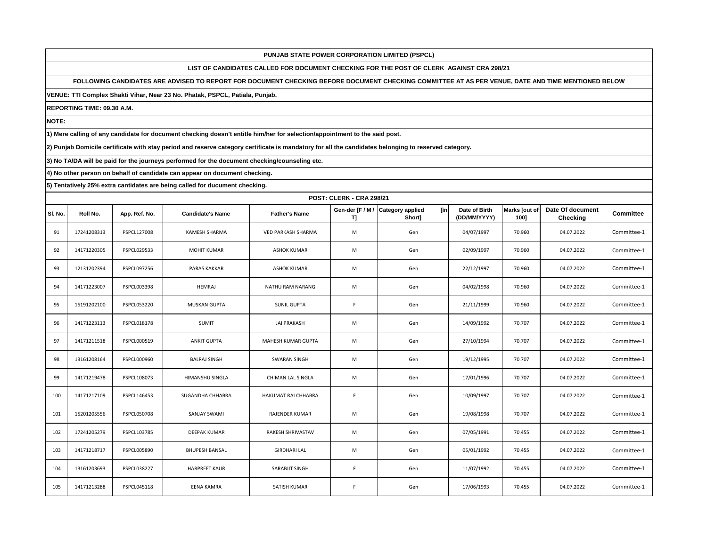# **LIST OF CANDIDATES CALLED FOR DOCUMENT CHECKING FOR THE POST OF CLERK AGAINST CRA 298/21**

# **FOLLOWING CANDIDATES ARE ADVISED TO REPORT FOR DOCUMENT CHECKING BEFORE DOCUMENT CHECKING COMMITTEE AT AS PER VENUE, DATE AND TIME MENTIONED BELOW**

**VENUE: TTI Complex Shakti Vihar, Near 23 No. Phatak, PSPCL, Patiala, Punjab.**

**REPORTING TIME: 09.30 A.M.**

**NOTE:**

**1) Mere calling of any candidate for document checking doesn't entitle him/her for selection/appointment to the said post.**

**2) Punjab Domicile certificate with stay period and reserve category certificate is mandatory for all the candidates belonging to reserved category.**

**3) No TA/DA will be paid for the journeys performed for the document checking/counseling etc.**

**4) No other person on behalf of candidate can appear on document checking.**

|         | <b>POST: CLERK - CRA 298/21</b> |                    |                         |                            |                       |                                                 |                               |                       |                              |                  |  |  |
|---------|---------------------------------|--------------------|-------------------------|----------------------------|-----------------------|-------------------------------------------------|-------------------------------|-----------------------|------------------------------|------------------|--|--|
| SI. No. | Roll No.                        | App. Ref. No.      | <b>Candidate's Name</b> | <b>Father's Name</b>       | Gen-der [F / M /<br>ŋ | <b>Category applied</b><br><b>fin</b><br>Short] | Date of Birth<br>(DD/MM/YYYY) | Marks [out of<br>100] | Date Of document<br>Checking | <b>Committee</b> |  |  |
| 91      | 17241208313                     | PSPCL127008        | <b>KAMESH SHARMA</b>    | <b>VED PARKASH SHARMA</b>  | M                     | Gen                                             | 04/07/1997                    | 70.960                | 04.07.2022                   | Committee-1      |  |  |
| 92      | 14171220305                     | PSPCL029533        | <b>MOHIT KUMAR</b>      | <b>ASHOK KUMAR</b>         | M                     | Gen                                             | 02/09/1997                    | 70.960                | 04.07.2022                   | Committee-1      |  |  |
| 93      | 12131202394                     | PSPCL097256        | <b>PARAS KAKKAR</b>     | <b>ASHOK KUMAR</b>         | M                     | Gen                                             | 22/12/1997                    | 70.960                | 04.07.2022                   | Committee-1      |  |  |
| 94      | 14171223007                     | PSPCL003398        | <b>HEMRAJ</b>           | NATHU RAM NARANG           | M                     | Gen                                             | 04/02/1998                    | 70.960                | 04.07.2022                   | Committee-1      |  |  |
| 95      | 15191202100                     | <b>PSPCL053220</b> | <b>MUSKAN GUPTA</b>     | <b>SUNIL GUPTA</b>         | F.                    | Gen                                             | 21/11/1999                    | 70.960                | 04.07.2022                   | Committee-1      |  |  |
| 96      | 14171223113                     | PSPCL018178        | <b>SUMIT</b>            | <b>JAI PRAKASH</b>         | M                     | Gen                                             | 14/09/1992                    | 70.707                | 04.07.2022                   | Committee-1      |  |  |
| 97      | 14171211518                     | PSPCL000519        | <b>ANKIT GUPTA</b>      | MAHESH KUMAR GUPTA         | M                     | Gen                                             | 27/10/1994                    | 70.707                | 04.07.2022                   | Committee-1      |  |  |
| 98      | 13161208164                     | PSPCL000960        | <b>BALRAJ SINGH</b>     | <b>SWARAN SINGH</b>        | M                     | Gen                                             | 19/12/1995                    | 70.707                | 04.07.2022                   | Committee-1      |  |  |
| 99      | 14171219478                     | PSPCL108073        | HIMANSHU SINGLA         | CHIMAN LAL SINGLA          | M                     | Gen                                             | 17/01/1996                    | 70.707                | 04.07.2022                   | Committee-1      |  |  |
| 100     | 14171217109                     | PSPCL146453        | SUGANDHA CHHABRA        | <b>HAKUMAT RAI CHHABRA</b> | F.                    | Gen                                             | 10/09/1997                    | 70.707                | 04.07.2022                   | Committee-1      |  |  |
| 101     | 15201205556                     | <b>PSPCL050708</b> | <b>SANJAY SWAMI</b>     | RAJENDER KUMAR             | M                     | Gen                                             | 19/08/1998                    | 70.707                | 04.07.2022                   | Committee-1      |  |  |
| 102     | 17241205279                     | PSPCL103785        | <b>DEEPAK KUMAR</b>     | RAKESH SHRIVASTAV          | M                     | Gen                                             | 07/05/1991                    | 70.455                | 04.07.2022                   | Committee-1      |  |  |
| 103     | 14171218717                     | <b>PSPCL005890</b> | <b>BHUPESH BANSAL</b>   | <b>GIRDHARI LAL</b>        | M                     | Gen                                             | 05/01/1992                    | 70.455                | 04.07.2022                   | Committee-1      |  |  |
| 104     | 13161203693                     | <b>PSPCL038227</b> | <b>HARPREET KAUR</b>    | SARABJIT SINGH             | F.                    | Gen                                             | 11/07/1992                    | 70.455                | 04.07.2022                   | Committee-1      |  |  |
| 105     | 14171213288                     | PSPCL045118        | <b>EENA KAMRA</b>       | SATISH KUMAR               | F                     | Gen                                             | 17/06/1993                    | 70.455                | 04.07.2022                   | Committee-1      |  |  |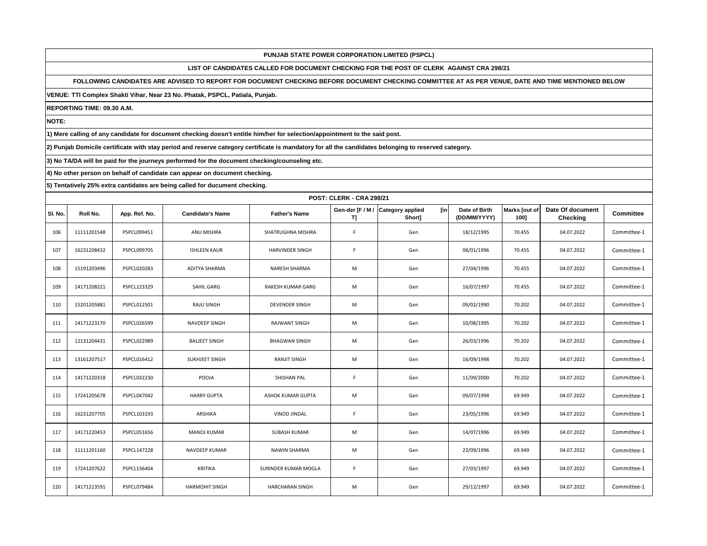# **LIST OF CANDIDATES CALLED FOR DOCUMENT CHECKING FOR THE POST OF CLERK AGAINST CRA 298/21**

# **FOLLOWING CANDIDATES ARE ADVISED TO REPORT FOR DOCUMENT CHECKING BEFORE DOCUMENT CHECKING COMMITTEE AT AS PER VENUE, DATE AND TIME MENTIONED BELOW**

**VENUE: TTI Complex Shakti Vihar, Near 23 No. Phatak, PSPCL, Patiala, Punjab.**

**REPORTING TIME: 09.30 A.M.**

**NOTE:**

**1) Mere calling of any candidate for document checking doesn't entitle him/her for selection/appointment to the said post.**

**2) Punjab Domicile certificate with stay period and reserve category certificate is mandatory for all the candidates belonging to reserved category.**

**3) No TA/DA will be paid for the journeys performed for the document checking/counseling etc.**

**4) No other person on behalf of candidate can appear on document checking.**

|         | <b>POST: CLERK - CRA 298/21</b> |                    |                         |                        |                        |                                          |                               |                       |                                     |                  |  |  |
|---------|---------------------------------|--------------------|-------------------------|------------------------|------------------------|------------------------------------------|-------------------------------|-----------------------|-------------------------------------|------------------|--|--|
| SI. No. | Roll No.                        | App. Ref. No.      | <b>Candidate's Name</b> | <b>Father's Name</b>   | Gen-der [F / M /<br>T] | [in<br><b>Category applied</b><br>Short] | Date of Birth<br>(DD/MM/YYYY) | Marks [out of<br>100] | Date Of document<br><b>Checking</b> | <b>Committee</b> |  |  |
| 106     | 11111201548                     | PSPCL099451        | ANU MISHRA              | SHATRUGHNA MISHRA      | F.                     | Gen                                      | 18/12/1995                    | 70.455                | 04.07.2022                          | Committee-1      |  |  |
| 107     | 16231208432                     | PSPCL099705        | <b>ISHLEEN KAUR</b>     | HARVINDER SINGH        | F.                     | Gen                                      | 08/01/1996                    | 70.455                | 04.07.2022                          | Committee-1      |  |  |
| 108     | 15191203496                     | PSPCL020283        | ADITYA SHARMA           | NARESH SHARMA          | M                      | Gen                                      | 27/04/1996                    | 70.455                | 04.07.2022                          | Committee-1      |  |  |
| 109     | 14171208221                     | PSPCL123329        | SAHIL GARG              | RAKESH KUMAR GARG      | M                      | Gen                                      | 16/07/1997                    | 70.455                | 04.07.2022                          | Committee-1      |  |  |
| 110     | 15201205881                     | PSPCL012501        | <b>RAJU SINGH</b>       | <b>DEVENDER SINGH</b>  | M                      | Gen                                      | 09/02/1990                    | 70.202                | 04.07.2022                          | Committee-1      |  |  |
| 111     | 14171223170                     | PSPCL026599        | NAVDEEP SINGH           | <b>RAJWANT SINGH</b>   | M                      | Gen                                      | 10/08/1995                    | 70.202                | 04.07.2022                          | Committee-1      |  |  |
| 112     | 12131204431                     | <b>PSPCL022989</b> | <b>BALJEET SINGH</b>    | <b>BHAGWAN SINGH</b>   | M                      | Gen                                      | 26/03/1996                    | 70.202                | 04.07.2022                          | Committee-1      |  |  |
| 113     | 13161207517                     | PSPCL016412        | SUKHJEET SINGH          | <b>RANJIT SINGH</b>    | M                      | Gen                                      | 16/09/1998                    | 70.202                | 04.07.2022                          | Committee-1      |  |  |
| 114     | 14171220318                     | PSPCL032230        | POOJA                   | SHISHAN PAL            | F.                     | Gen                                      | 11/09/2000                    | 70.202                | 04.07.2022                          | Committee-1      |  |  |
| 115     | 17241205678                     | PSPCL047042        | <b>HARRY GUPTA</b>      | ASHOK KUMAR GUPTA      | M                      | Gen                                      | 09/07/1994                    | 69.949                | 04.07.2022                          | Committee-1      |  |  |
| 116     | 16231207705                     | PSPCL103193        | ARSHIKA                 | <b>VINOD JINDAL</b>    | F.                     | Gen                                      | 23/05/1996                    | 69.949                | 04.07.2022                          | Committee-1      |  |  |
| 117     | 14171220453                     | PSPCL051656        | MANOJ KUMAR             | <b>SUBASH KUMAR</b>    | M                      | Gen                                      | 14/07/1996                    | 69.949                | 04.07.2022                          | Committee-1      |  |  |
| 118     | 11111201160                     | <b>PSPCL147228</b> | <b>NAVDEEP KUMAR</b>    | NAWIN SHARMA           | M                      | Gen                                      | 23/09/1996                    | 69.949                | 04.07.2022                          | Committee-1      |  |  |
| 119     | 17241207622                     | PSPCL136404        | <b>KRITIKA</b>          | SURINDER KUMAR MOGLA   | F.                     | Gen                                      | 27/03/1997                    | 69.949                | 04.07.2022                          | Committee-1      |  |  |
| 120     | 14171213591                     | PSPCL079484        | <b>HARMOHIT SINGH</b>   | <b>HARCHARAN SINGH</b> | M                      | Gen                                      | 29/12/1997                    | 69.949                | 04.07.2022                          | Committee-1      |  |  |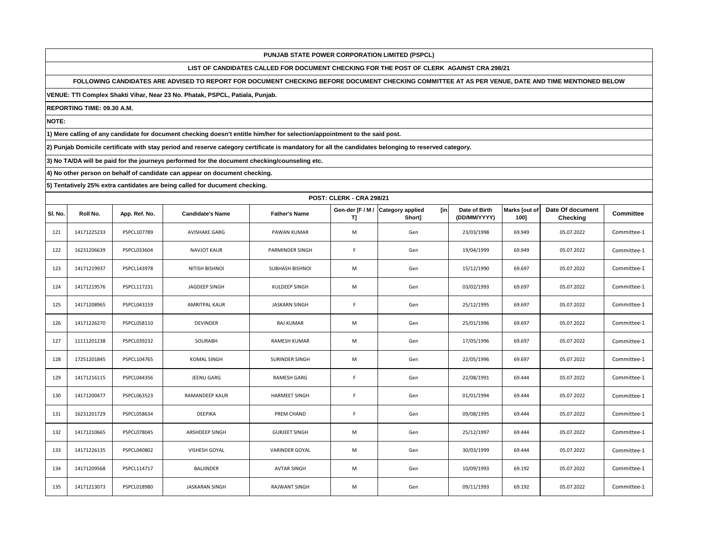# **LIST OF CANDIDATES CALLED FOR DOCUMENT CHECKING FOR THE POST OF CLERK AGAINST CRA 298/21**

## **FOLLOWING CANDIDATES ARE ADVISED TO REPORT FOR DOCUMENT CHECKING BEFORE DOCUMENT CHECKING COMMITTEE AT AS PER VENUE, DATE AND TIME MENTIONED BELOW**

**VENUE: TTI Complex Shakti Vihar, Near 23 No. Phatak, PSPCL, Patiala, Punjab.**

**REPORTING TIME: 09.30 A.M.**

**NOTE:**

**1) Mere calling of any candidate for document checking doesn't entitle him/her for selection/appointment to the said post.**

**2) Punjab Domicile certificate with stay period and reserve category certificate is mandatory for all the candidates belonging to reserved category.**

**3) No TA/DA will be paid for the journeys performed for the document checking/counseling etc.**

**4) No other person on behalf of candidate can appear on document checking.**

|         | <b>POST: CLERK - CRA 298/21</b> |                    |                         |                       |                       |                                           |                               |                       |                              |                  |  |  |
|---------|---------------------------------|--------------------|-------------------------|-----------------------|-----------------------|-------------------------------------------|-------------------------------|-----------------------|------------------------------|------------------|--|--|
| SI. No. | Roll No.                        | App. Ref. No.      | <b>Candidate's Name</b> | <b>Father's Name</b>  | Gen-der [F / M /<br>ŋ | <b>Category applied</b><br>[in]<br>Short] | Date of Birth<br>(DD/MM/YYYY) | Marks [out of<br>100] | Date Of document<br>Checking | <b>Committee</b> |  |  |
| 121     | 14171225233                     | PSPCL107789        | <b>AVISHAKE GARG</b>    | PAWAN KUMAR           | M                     | Gen                                       | 23/03/1998                    | 69.949                | 05.07.2022                   | Committee-1      |  |  |
| 122     | 16231206639                     | PSPCL033604        | <b>NAVJOT KAUR</b>      | PARMINDER SINGH       | F.                    | Gen                                       | 19/04/1999                    | 69.949                | 05.07.2022                   | Committee-1      |  |  |
| 123     | 14171219937                     | PSPCL143978        | NITISH BISHNOI          | SUBHASH BISHNOI       | M                     | Gen                                       | 15/12/1990                    | 69.697                | 05.07.2022                   | Committee-1      |  |  |
| 124     | 14171219576                     | PSPCL117231        | JAGDEEP SINGH           | KULDEEP SINGH         | M                     | Gen                                       | 03/02/1993                    | 69.697                | 05.07.2022                   | Committee-1      |  |  |
| 125     | 14171208965                     | PSPCL043159        | <b>AMRITPAL KAUR</b>    | <b>JASKARN SINGH</b>  | F.                    | Gen                                       | 25/12/1995                    | 69.697                | 05.07.2022                   | Committee-1      |  |  |
| 126     | 14171226270                     | PSPCL058110        | <b>DEVINDER</b>         | RAJ KUMAR             | M                     | Gen                                       | 25/01/1996                    | 69.697                | 05.07.2022                   | Committee-1      |  |  |
| 127     | 11111201238                     | PSPCL039232        | SOURABH                 | <b>RAMESH KUMAR</b>   | M                     | Gen                                       | 17/05/1996                    | 69.697                | 05.07.2022                   | Committee-1      |  |  |
| 128     | 17251201845                     | PSPCL104765        | <b>KOMAL SINGH</b>      | SURINDER SINGH        | M                     | Gen                                       | 22/05/1996                    | 69.697                | 05.07.2022                   | Committee-1      |  |  |
| 129     | 14171216115                     | PSPCL044356        | JEENU GARG              | <b>RAMESH GARG</b>    | F.                    | Gen                                       | 22/08/1991                    | 69.444                | 05.07.2022                   | Committee-1      |  |  |
| 130     | 14171200477                     | <b>PSPCL063523</b> | RAMANDEEP KAUR          | <b>HARMEET SINGH</b>  | F.                    | Gen                                       | 01/01/1994                    | 69.444                | 05.07.2022                   | Committee-1      |  |  |
| 131     | 16231201729                     | PSPCL058634        | <b>DEEPIKA</b>          | PREM CHAND            | F.                    | Gen                                       | 09/08/1995                    | 69.444                | 05.07.2022                   | Committee-1      |  |  |
| 132     | 14171210665                     | PSPCL078045        | ARSHDEEP SINGH          | <b>GURJEET SINGH</b>  | M                     | Gen                                       | 25/12/1997                    | 69.444                | 05.07.2022                   | Committee-1      |  |  |
| 133     | 14171226135                     | PSPCL040802        | VISHESH GOYAL           | <b>VARINDER GOYAL</b> | M                     | Gen                                       | 30/03/1999                    | 69.444                | 05.07.2022                   | Committee-1      |  |  |
| 134     | 14171209568                     | PSPCL114717        | <b>BALJINDER</b>        | <b>AVTAR SINGH</b>    | M                     | Gen                                       | 10/09/1993                    | 69.192                | 05.07.2022                   | Committee-1      |  |  |
| 135     | 14171213073                     | PSPCL018980        | <b>JASKARAN SINGH</b>   | <b>RAJWANT SINGH</b>  | M                     | Gen                                       | 09/11/1993                    | 69.192                | 05.07.2022                   | Committee-1      |  |  |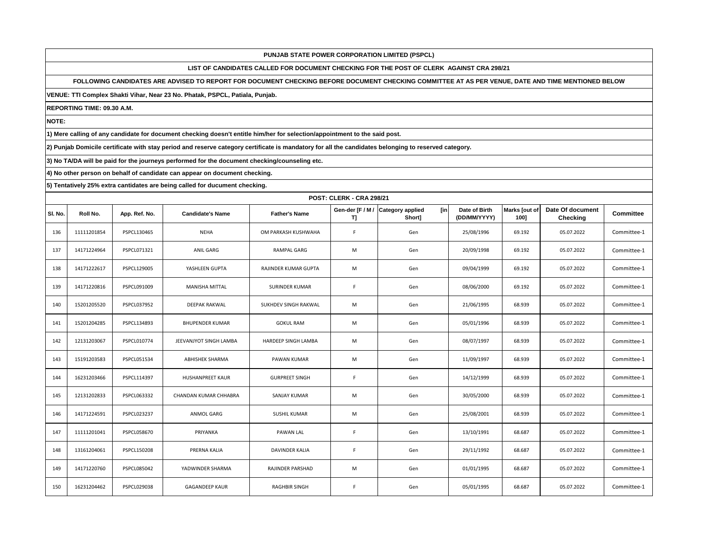# **LIST OF CANDIDATES CALLED FOR DOCUMENT CHECKING FOR THE POST OF CLERK AGAINST CRA 298/21**

# **FOLLOWING CANDIDATES ARE ADVISED TO REPORT FOR DOCUMENT CHECKING BEFORE DOCUMENT CHECKING COMMITTEE AT AS PER VENUE, DATE AND TIME MENTIONED BELOW**

**VENUE: TTI Complex Shakti Vihar, Near 23 No. Phatak, PSPCL, Patiala, Punjab.**

**REPORTING TIME: 09.30 A.M.**

**NOTE:**

**1) Mere calling of any candidate for document checking doesn't entitle him/her for selection/appointment to the said post.**

**2) Punjab Domicile certificate with stay period and reserve category certificate is mandatory for all the candidates belonging to reserved category.**

**3) No TA/DA will be paid for the journeys performed for the document checking/counseling etc.**

**4) No other person on behalf of candidate can appear on document checking.**

|         | <b>POST: CLERK - CRA 298/21</b> |                    |                         |                       |                       |                                                 |                               |                       |                              |                  |  |  |
|---------|---------------------------------|--------------------|-------------------------|-----------------------|-----------------------|-------------------------------------------------|-------------------------------|-----------------------|------------------------------|------------------|--|--|
| SI. No. | Roll No.                        | App. Ref. No.      | <b>Candidate's Name</b> | <b>Father's Name</b>  | Gen-der [F / M /<br>ŋ | <b>Category applied</b><br><b>fin</b><br>Short] | Date of Birth<br>(DD/MM/YYYY) | Marks [out of<br>100] | Date Of document<br>Checking | <b>Committee</b> |  |  |
| 136     | 11111201854                     | PSPCL130465        | <b>NEHA</b>             | OM PARKASH KUSHWAHA   | F.                    | Gen                                             | 25/08/1996                    | 69.192                | 05.07.2022                   | Committee-1      |  |  |
| 137     | 14171224964                     | PSPCL071321        | ANIL GARG               | <b>RAMPAL GARG</b>    | M                     | Gen                                             | 20/09/1998                    | 69.192                | 05.07.2022                   | Committee-1      |  |  |
| 138     | 14171222617                     | PSPCL129005        | YASHLEEN GUPTA          | RAJINDER KUMAR GUPTA  | M                     | Gen                                             | 09/04/1999                    | 69.192                | 05.07.2022                   | Committee-1      |  |  |
| 139     | 14171220816                     | PSPCL091009        | MANISHA MITTAL          | SURINDER KUMAR        | F.                    | Gen                                             | 08/06/2000                    | 69.192                | 05.07.2022                   | Committee-1      |  |  |
| 140     | 15201205520                     | PSPCL037952        | DEEPAK RAKWAL           | SUKHDEV SINGH RAKWAL  | M                     | Gen                                             | 21/06/1995                    | 68.939                | 05.07.2022                   | Committee-1      |  |  |
| 141     | 15201204285                     | PSPCL134893        | <b>BHUPENDER KUMAR</b>  | <b>GOKUL RAM</b>      | M                     | Gen                                             | 05/01/1996                    | 68.939                | 05.07.2022                   | Committee-1      |  |  |
| 142     | 12131203067                     | PSPCL010774        | JEEVANJYOT SINGH LAMBA  | HARDEEP SINGH LAMBA   | M                     | Gen                                             | 08/07/1997                    | 68.939                | 05.07.2022                   | Committee-1      |  |  |
| 143     | 15191203583                     | PSPCL051534        | <b>ABHISHEK SHARMA</b>  | PAWAN KUMAR           | M                     | Gen                                             | 11/09/1997                    | 68.939                | 05.07.2022                   | Committee-1      |  |  |
| 144     | 16231203466                     | PSPCL114397        | <b>HUSHANPREET KAUR</b> | <b>GURPREET SINGH</b> | F.                    | Gen                                             | 14/12/1999                    | 68.939                | 05.07.2022                   | Committee-1      |  |  |
| 145     | 12131202833                     | PSPCL063332        | CHANDAN KUMAR CHHABRA   | <b>SANJAY KUMAR</b>   | M                     | Gen                                             | 30/05/2000                    | 68.939                | 05.07.2022                   | Committee-1      |  |  |
| 146     | 14171224591                     | <b>PSPCL023237</b> | ANMOL GARG              | <b>SUSHIL KUMAR</b>   | M                     | Gen                                             | 25/08/2001                    | 68.939                | 05.07.2022                   | Committee-1      |  |  |
| 147     | 11111201041                     | PSPCL058670        | PRIYANKA                | PAWAN LAL             | F                     | Gen                                             | 13/10/1991                    | 68.687                | 05.07.2022                   | Committee-1      |  |  |
| 148     | 13161204061                     | PSPCL150208        | PRERNA KALIA            | <b>DAVINDER KALIA</b> | F.                    | Gen                                             | 29/11/1992                    | 68.687                | 05.07.2022                   | Committee-1      |  |  |
| 149     | 14171220760                     | PSPCL085042        | YADWINDER SHARMA        | RAJINDER PARSHAD      | M                     | Gen                                             | 01/01/1995                    | 68.687                | 05.07.2022                   | Committee-1      |  |  |
| 150     | 16231204462                     | PSPCL029038        | <b>GAGANDEEP KAUR</b>   | <b>RAGHBIR SINGH</b>  | F                     | Gen                                             | 05/01/1995                    | 68.687                | 05.07.2022                   | Committee-1      |  |  |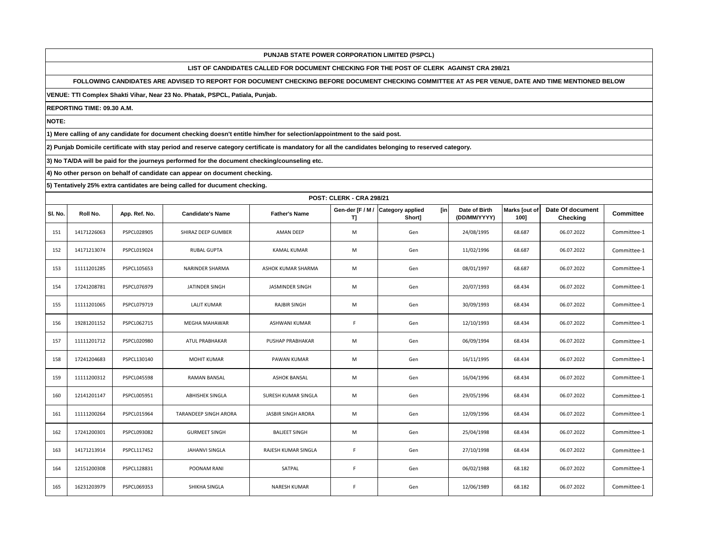# **LIST OF CANDIDATES CALLED FOR DOCUMENT CHECKING FOR THE POST OF CLERK AGAINST CRA 298/21**

## **FOLLOWING CANDIDATES ARE ADVISED TO REPORT FOR DOCUMENT CHECKING BEFORE DOCUMENT CHECKING COMMITTEE AT AS PER VENUE, DATE AND TIME MENTIONED BELOW**

**VENUE: TTI Complex Shakti Vihar, Near 23 No. Phatak, PSPCL, Patiala, Punjab.**

**REPORTING TIME: 09.30 A.M.**

**NOTE:**

**1) Mere calling of any candidate for document checking doesn't entitle him/her for selection/appointment to the said post.**

**2) Punjab Domicile certificate with stay period and reserve category certificate is mandatory for all the candidates belonging to reserved category.**

**3) No TA/DA will be paid for the journeys performed for the document checking/counseling etc.**

**4) No other person on behalf of candidate can appear on document checking.**

|         | <b>POST: CLERK - CRA 298/21</b> |                    |                         |                           |                       |                                          |                               |                       |                                     |                  |  |  |
|---------|---------------------------------|--------------------|-------------------------|---------------------------|-----------------------|------------------------------------------|-------------------------------|-----------------------|-------------------------------------|------------------|--|--|
| SI. No. | Roll No.                        | App. Ref. No.      | <b>Candidate's Name</b> | <b>Father's Name</b>      | Gen-der [F / M /<br>ŋ | [in<br><b>Category applied</b><br>Short] | Date of Birth<br>(DD/MM/YYYY) | Marks [out of<br>100] | Date Of document<br><b>Checking</b> | <b>Committee</b> |  |  |
| 151     | 14171226063                     | PSPCL028905        | SHIRAZ DEEP GUMBER      | AMAN DEEP                 | M                     | Gen                                      | 24/08/1995                    | 68.687                | 06.07.2022                          | Committee-1      |  |  |
| 152     | 14171213074                     | PSPCL019024        | <b>RUBAL GUPTA</b>      | <b>KAMAL KUMAR</b>        | M                     | Gen                                      | 11/02/1996                    | 68.687                | 06.07.2022                          | Committee-1      |  |  |
| 153     | 11111201285                     | PSPCL105653        | NARINDER SHARMA         | ASHOK KUMAR SHARMA        | M                     | Gen                                      | 08/01/1997                    | 68.687                | 06.07.2022                          | Committee-1      |  |  |
| 154     | 17241208781                     | PSPCL076979        | JATINDER SINGH          | JASMINDER SINGH           | M                     | Gen                                      | 20/07/1993                    | 68.434                | 06.07.2022                          | Committee-1      |  |  |
| 155     | 11111201065                     | PSPCL079719        | <b>LALIT KUMAR</b>      | <b>RAJBIR SINGH</b>       | M                     | Gen                                      | 30/09/1993                    | 68.434                | 06.07.2022                          | Committee-1      |  |  |
| 156     | 19281201152                     | PSPCL062715        | <b>MEGHA MAHAWAR</b>    | ASHWANI KUMAR             | F.                    | Gen                                      | 12/10/1993                    | 68.434                | 06.07.2022                          | Committee-1      |  |  |
| 157     | 11111201712                     | PSPCL020980        | ATUL PRABHAKAR          | <b>PUSHAP PRABHAKAR</b>   | M                     | Gen                                      | 06/09/1994                    | 68.434                | 06.07.2022                          | Committee-1      |  |  |
| 158     | 17241204683                     | PSPCL130140        | <b>MOHIT KUMAR</b>      | PAWAN KUMAR               | M                     | Gen                                      | 16/11/1995                    | 68.434                | 06.07.2022                          | Committee-1      |  |  |
| 159     | 11111200312                     | <b>PSPCL045598</b> | <b>RAMAN BANSAL</b>     | <b>ASHOK BANSAL</b>       | M                     | Gen                                      | 16/04/1996                    | 68.434                | 06.07.2022                          | Committee-1      |  |  |
| 160     | 12141201147                     | PSPCL005951        | <b>ABHISHEK SINGLA</b>  | SURESH KUMAR SINGLA       | M                     | Gen                                      | 29/05/1996                    | 68.434                | 06.07.2022                          | Committee-1      |  |  |
| 161     | 11111200264                     | PSPCL015964        | TARANDEEP SINGH ARORA   | <b>JASBIR SINGH ARORA</b> | M                     | Gen                                      | 12/09/1996                    | 68.434                | 06.07.2022                          | Committee-1      |  |  |
| 162     | 17241200301                     | PSPCL093082        | <b>GURMEET SINGH</b>    | <b>BALJEET SINGH</b>      | M                     | Gen                                      | 25/04/1998                    | 68.434                | 06.07.2022                          | Committee-1      |  |  |
| 163     | 14171213914                     | PSPCL117452        | JAHANVI SINGLA          | RAJESH KUMAR SINGLA       | F.                    | Gen                                      | 27/10/1998                    | 68.434                | 06.07.2022                          | Committee-1      |  |  |
| 164     | 12151200308                     | PSPCL128831        | POONAM RANI             | SATPAL                    | F                     | Gen                                      | 06/02/1988                    | 68.182                | 06.07.2022                          | Committee-1      |  |  |
| 165     | 16231203979                     | PSPCL069353        | SHIKHA SINGLA           | <b>NARESH KUMAR</b>       | F                     | Gen                                      | 12/06/1989                    | 68.182                | 06.07.2022                          | Committee-1      |  |  |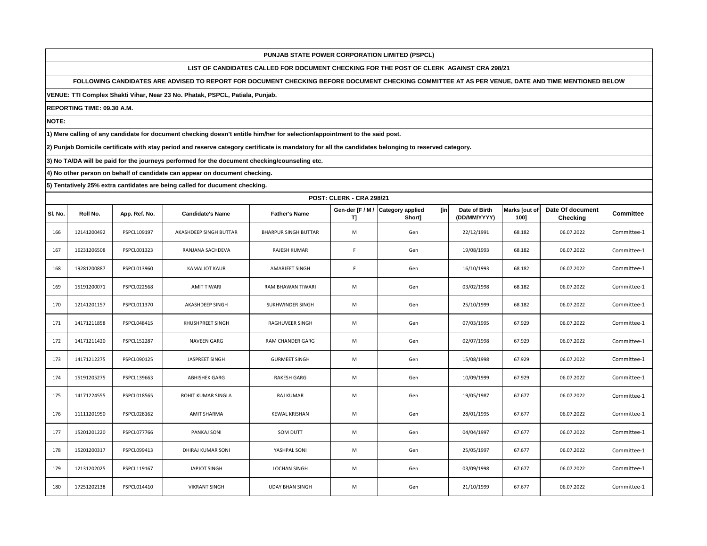# **LIST OF CANDIDATES CALLED FOR DOCUMENT CHECKING FOR THE POST OF CLERK AGAINST CRA 298/21**

# **FOLLOWING CANDIDATES ARE ADVISED TO REPORT FOR DOCUMENT CHECKING BEFORE DOCUMENT CHECKING COMMITTEE AT AS PER VENUE, DATE AND TIME MENTIONED BELOW**

#### **VENUE: TTI Complex Shakti Vihar, Near 23 No. Phatak, PSPCL, Patiala, Punjab.**

**REPORTING TIME: 09.30 A.M.**

**NOTE:**

**1) Mere calling of any candidate for document checking doesn't entitle him/her for selection/appointment to the said post.**

**2) Punjab Domicile certificate with stay period and reserve category certificate is mandatory for all the candidates belonging to reserved category.**

**3) No TA/DA will be paid for the journeys performed for the document checking/counseling etc.**

**4) No other person on behalf of candidate can appear on document checking.**

|         | <b>POST: CLERK - CRA 298/21</b> |                    |                           |                             |                       |                                          |                               |                       |                                     |                  |  |  |
|---------|---------------------------------|--------------------|---------------------------|-----------------------------|-----------------------|------------------------------------------|-------------------------------|-----------------------|-------------------------------------|------------------|--|--|
| SI. No. | Roll No.                        | App. Ref. No.      | <b>Candidate's Name</b>   | <b>Father's Name</b>        | Gen-der [F / M /<br>ŋ | [in<br><b>Category applied</b><br>Short] | Date of Birth<br>(DD/MM/YYYY) | Marks [out of<br>100] | Date Of document<br><b>Checking</b> | <b>Committee</b> |  |  |
| 166     | 12141200492                     | PSPCL109197        | AKASHDEEP SINGH BUTTAR    | <b>BHARPUR SINGH BUTTAR</b> | M                     | Gen                                      | 22/12/1991                    | 68.182                | 06.07.2022                          | Committee-1      |  |  |
| 167     | 16231206508                     | PSPCL001323        | RANJANA SACHDEVA          | RAJESH KUMAR                | F.                    | Gen                                      | 19/08/1993                    | 68.182                | 06.07.2022                          | Committee-1      |  |  |
| 168     | 19281200887                     | PSPCL013960        | <b>KAMALIOT KAUR</b>      | AMARJEET SINGH              | F.                    | Gen                                      | 16/10/1993                    | 68.182                | 06.07.2022                          | Committee-1      |  |  |
| 169     | 15191200071                     | <b>PSPCL022568</b> | AMIT TIWARI               | RAM BHAWAN TIWARI           | M                     | Gen                                      | 03/02/1998                    | 68.182                | 06.07.2022                          | Committee-1      |  |  |
| 170     | 12141201157                     | PSPCL011370        | AKASHDEEP SINGH           | SUKHWINDER SINGH            | M                     | Gen                                      | 25/10/1999                    | 68.182                | 06.07.2022                          | Committee-1      |  |  |
| 171     | 14171211858                     | PSPCL048415        | KHUSHPREET SINGH          | RAGHUVEER SINGH             | M                     | Gen                                      | 07/03/1995                    | 67.929                | 06.07.2022                          | Committee-1      |  |  |
| 172     | 14171211420                     | <b>PSPCL152287</b> | <b>NAVEEN GARG</b>        | <b>RAM CHANDER GARG</b>     | M                     | Gen                                      | 02/07/1998                    | 67.929                | 06.07.2022                          | Committee-1      |  |  |
| 173     | 14171212275                     | PSPCL090125        | JASPREET SINGH            | <b>GURMEET SINGH</b>        | M                     | Gen                                      | 15/08/1998                    | 67.929                | 06.07.2022                          | Committee-1      |  |  |
| 174     | 15191205275                     | PSPCL139663        | <b>ABHISHEK GARG</b>      | <b>RAKESH GARG</b>          | M                     | Gen                                      | 10/09/1999                    | 67.929                | 06.07.2022                          | Committee-1      |  |  |
| 175     | 14171224555                     | PSPCL018565        | <b>ROHIT KUMAR SINGLA</b> | <b>RAJ KUMAR</b>            | M                     | Gen                                      | 19/05/1987                    | 67.677                | 06.07.2022                          | Committee-1      |  |  |
| 176     | 11111201950                     | PSPCL028162        | <b>AMIT SHARMA</b>        | <b>KEWAL KRISHAN</b>        | M                     | Gen                                      | 28/01/1995                    | 67.677                | 06.07.2022                          | Committee-1      |  |  |
| 177     | 15201201220                     | PSPCL077766        | PANKAJ SONI               | <b>SOM DUTT</b>             | M                     | Gen                                      | 04/04/1997                    | 67.677                | 06.07.2022                          | Committee-1      |  |  |
| 178     | 15201200317                     | PSPCL099413        | DHIRAJ KUMAR SONI         | YASHPAL SONI                | M                     | Gen                                      | 25/05/1997                    | 67.677                | 06.07.2022                          | Committee-1      |  |  |
| 179     | 12131202025                     | PSPCL119167        | <b>JAPJOT SINGH</b>       | <b>LOCHAN SINGH</b>         | M                     | Gen                                      | 03/09/1998                    | 67.677                | 06.07.2022                          | Committee-1      |  |  |
| 180     | 17251202138                     | PSPCL014410        | <b>VIKRANT SINGH</b>      | <b>UDAY BHAN SINGH</b>      | M                     | Gen                                      | 21/10/1999                    | 67.677                | 06.07.2022                          | Committee-1      |  |  |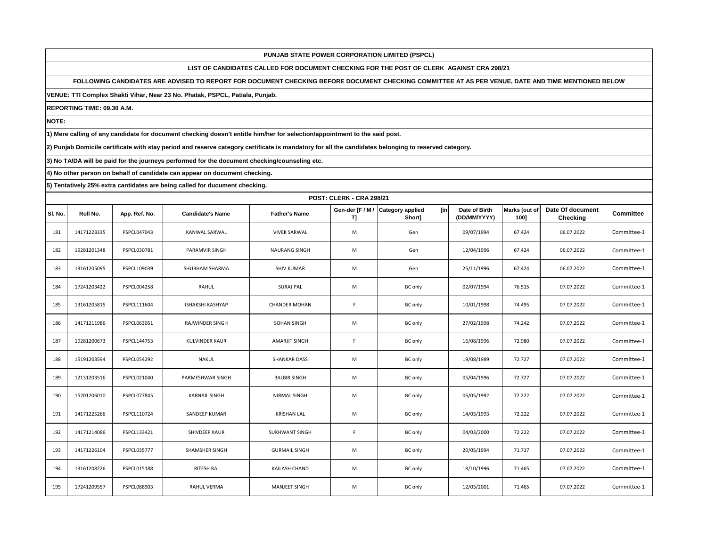# **LIST OF CANDIDATES CALLED FOR DOCUMENT CHECKING FOR THE POST OF CLERK AGAINST CRA 298/21**

## **FOLLOWING CANDIDATES ARE ADVISED TO REPORT FOR DOCUMENT CHECKING BEFORE DOCUMENT CHECKING COMMITTEE AT AS PER VENUE, DATE AND TIME MENTIONED BELOW**

**VENUE: TTI Complex Shakti Vihar, Near 23 No. Phatak, PSPCL, Patiala, Punjab.**

**REPORTING TIME: 09.30 A.M.**

**NOTE:**

**1) Mere calling of any candidate for document checking doesn't entitle him/her for selection/appointment to the said post.**

**2) Punjab Domicile certificate with stay period and reserve category certificate is mandatory for all the candidates belonging to reserved category.**

**3) No TA/DA will be paid for the journeys performed for the document checking/counseling etc.**

**4) No other person on behalf of candidate can appear on document checking.**

|         | <b>POST: CLERK - CRA 298/21</b> |                    |                         |                      |                       |                                                 |                               |                       |                              |                  |  |
|---------|---------------------------------|--------------------|-------------------------|----------------------|-----------------------|-------------------------------------------------|-------------------------------|-----------------------|------------------------------|------------------|--|
| SI. No. | Roll No.                        | App. Ref. No.      | <b>Candidate's Name</b> | <b>Father's Name</b> | Gen-der [F / M /<br>ŋ | <b>Category applied</b><br><b>fin</b><br>Short] | Date of Birth<br>(DD/MM/YYYY) | Marks [out of<br>100] | Date Of document<br>Checking | <b>Committee</b> |  |
| 181     | 14171223335                     | PSPCL047043        | KANWAL SARWAL           | <b>VIVEK SARWAL</b>  | M                     | Gen                                             | 09/07/1994                    | 67.424                | 06.07.2022                   | Committee-1      |  |
| 182     | 19281201348                     | PSPCL030781        | PARAMVIR SINGH          | <b>NAURANG SINGH</b> | M                     | Gen                                             | 12/04/1996                    | 67.424                | 06.07.2022                   | Committee-1      |  |
| 183     | 13161205095                     | PSPCL109039        | SHUBHAM SHARMA          | <b>SHIV KUMAR</b>    | M                     | Gen                                             | 25/11/1996                    | 67.424                | 06.07.2022                   | Committee-1      |  |
| 184     | 17241203422                     | PSPCL004258        | RAHUL                   | <b>SURAJ PAL</b>     | M                     | <b>BC</b> only                                  | 02/07/1994                    | 76.515                | 07.07.2022                   | Committee-1      |  |
| 185     | 13161205815                     | PSPCL111604        | ISHAKSHI KASHYAP        | <b>CHANDER MOHAN</b> | F.                    | <b>BC</b> only                                  | 10/01/1998                    | 74.495                | 07.07.2022                   | Committee-1      |  |
| 186     | 14171211986                     | PSPCL063051        | RAJWINDER SINGH         | SOHAN SINGH          | M                     | <b>BC</b> only                                  | 27/02/1998                    | 74.242                | 07.07.2022                   | Committee-1      |  |
| 187     | 19281200673                     | PSPCL144753        | KULVINDER KAUR          | AMARJIT SINGH        | F.                    | <b>BC</b> only                                  | 16/08/1996                    | 72.980                | 07.07.2022                   | Committee-1      |  |
| 188     | 15191203594                     | <b>PSPCL054292</b> | <b>NAKUL</b>            | <b>SHANKAR DASS</b>  | M                     | <b>BC</b> only                                  | 19/08/1989                    | 72.727                | 07.07.2022                   | Committee-1      |  |
| 189     | 12131203516                     | PSPCL021040        | PARMESHWAR SINGH        | <b>BALBIR SINGH</b>  | M                     | <b>BC</b> only                                  | 05/04/1996                    | 72.727                | 07.07.2022                   | Committee-1      |  |
| 190     | 15201206010                     | <b>PSPCL077845</b> | <b>KARNAIL SINGH</b>    | NIRMAL SINGH         | M                     | <b>BC</b> only                                  | 06/05/1992                    | 72.222                | 07.07.2022                   | Committee-1      |  |
| 191     | 14171225266                     | PSPCL110724        | SANDEEP KUMAR           | <b>KRISHAN LAL</b>   | M                     | <b>BC</b> only                                  | 14/03/1993                    | 72.222                | 07.07.2022                   | Committee-1      |  |
| 192     | 14171214086                     | PSPCL133421        | SHIVDEEP KAUR           | SUKHWANT SINGH       | F.                    | <b>BC</b> only                                  | 04/03/2000                    | 72.222                | 07.07.2022                   | Committee-1      |  |
| 193     | 14171226104                     | <b>PSPCL035777</b> | SHAMSHER SINGH          | <b>GURMAIL SINGH</b> | M                     | <b>BC</b> only                                  | 20/05/1994                    | 71.717                | 07.07.2022                   | Committee-1      |  |
| 194     | 13161208226                     | <b>PSPCL015188</b> | RITESH RAI              | <b>KAILASH CHAND</b> | M                     | <b>BC</b> only                                  | 18/10/1996                    | 71.465                | 07.07.2022                   | Committee-1      |  |
| 195     | 17241209557                     | PSPCL088903        | <b>RAHUL VERMA</b>      | <b>MANJEET SINGH</b> | M                     | <b>BC</b> only                                  | 12/03/2001                    | 71.465                | 07.07.2022                   | Committee-1      |  |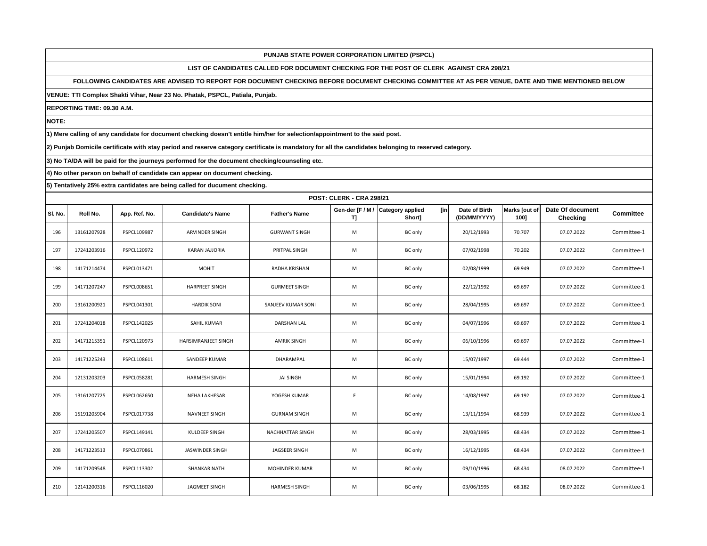# **LIST OF CANDIDATES CALLED FOR DOCUMENT CHECKING FOR THE POST OF CLERK AGAINST CRA 298/21**

## **FOLLOWING CANDIDATES ARE ADVISED TO REPORT FOR DOCUMENT CHECKING BEFORE DOCUMENT CHECKING COMMITTEE AT AS PER VENUE, DATE AND TIME MENTIONED BELOW**

#### **VENUE: TTI Complex Shakti Vihar, Near 23 No. Phatak, PSPCL, Patiala, Punjab.**

**REPORTING TIME: 09.30 A.M.**

**NOTE:**

**1) Mere calling of any candidate for document checking doesn't entitle him/her for selection/appointment to the said post.**

**2) Punjab Domicile certificate with stay period and reserve category certificate is mandatory for all the candidates belonging to reserved category.**

**3) No TA/DA will be paid for the journeys performed for the document checking/counseling etc.**

**4) No other person on behalf of candidate can appear on document checking.**

|         | <b>POST: CLERK - CRA 298/21</b> |               |                         |                       |     |                                                    |                               |                       |                              |                  |  |
|---------|---------------------------------|---------------|-------------------------|-----------------------|-----|----------------------------------------------------|-------------------------------|-----------------------|------------------------------|------------------|--|
| SI. No. | Roll No.                        | App. Ref. No. | <b>Candidate's Name</b> | <b>Father's Name</b>  | TJ. | Gen-der [F / M / Category applied<br>[in<br>Short] | Date of Birth<br>(DD/MM/YYYY) | Marks [out of<br>100] | Date Of document<br>Checking | <b>Committee</b> |  |
| 196     | 13161207928                     | PSPCL109987   | ARVINDER SINGH          | <b>GURWANT SINGH</b>  | M   | <b>BC</b> only                                     | 20/12/1993                    | 70.707                | 07.07.2022                   | Committee-1      |  |
| 197     | 17241203916                     | PSPCL120972   | <b>KARAN JAJJORIA</b>   | PRITPAL SINGH         | M   | <b>BC</b> only                                     | 07/02/1998                    | 70.202                | 07.07.2022                   | Committee-1      |  |
| 198     | 14171214474                     | PSPCL013471   | <b>MOHIT</b>            | RADHA KRISHAN         | M   | <b>BC</b> only                                     | 02/08/1999                    | 69.949                | 07.07.2022                   | Committee-1      |  |
| 199     | 14171207247                     | PSPCL008651   | <b>HARPREET SINGH</b>   | <b>GURMEET SINGH</b>  | M   | <b>BC</b> only                                     | 22/12/1992                    | 69.697                | 07.07.2022                   | Committee-1      |  |
| 200     | 13161200921                     | PSPCL041301   | <b>HARDIK SONI</b>      | SANJEEV KUMAR SONI    | M   | <b>BC</b> only                                     | 28/04/1995                    | 69.697                | 07.07.2022                   | Committee-1      |  |
| 201     | 17241204018                     | PSPCL142025   | SAHIL KUMAR             | <b>DARSHAN LAL</b>    | M   | <b>BC</b> only                                     | 04/07/1996                    | 69.697                | 07.07.2022                   | Committee-1      |  |
| 202     | 14171215351                     | PSPCL120973   | HARSIMRANJEET SINGH     | <b>AMRIK SINGH</b>    | M   | <b>BC</b> only                                     | 06/10/1996                    | 69.697                | 07.07.2022                   | Committee-1      |  |
| 203     | 14171225243                     | PSPCL108611   | SANDEEP KUMAR           | DHARAMPAL             | M   | <b>BC</b> only                                     | 15/07/1997                    | 69.444                | 07.07.2022                   | Committee-1      |  |
| 204     | 12131203203                     | PSPCL058281   | <b>HARMESH SINGH</b>    | <b>JAI SINGH</b>      | M   | <b>BC</b> only                                     | 15/01/1994                    | 69.192                | 07.07.2022                   | Committee-1      |  |
| 205     | 13161207725                     | PSPCL062650   | <b>NEHA LAKHESAR</b>    | YOGESH KUMAR          | F.  | <b>BC</b> only                                     | 14/08/1997                    | 69.192                | 07.07.2022                   | Committee-1      |  |
| 206     | 15191205904                     | PSPCL017738   | NAVNEET SINGH           | <b>GURNAM SINGH</b>   | M   | BC only                                            | 13/11/1994                    | 68.939                | 07.07.2022                   | Committee-1      |  |
| 207     | 17241205507                     | PSPCL149141   | KULDEEP SINGH           | NACHHATTAR SINGH      | M   | <b>BC</b> only                                     | 28/03/1995                    | 68.434                | 07.07.2022                   | Committee-1      |  |
| 208     | 14171223513                     | PSPCL070861   | <b>JASWINDER SINGH</b>  | <b>JAGSEER SINGH</b>  | M   | <b>BC</b> only                                     | 16/12/1995                    | 68.434                | 07.07.2022                   | Committee-1      |  |
| 209     | 14171209548                     | PSPCL113302   | <b>SHANKAR NATH</b>     | <b>MOHINDER KUMAR</b> | M   | <b>BC</b> only                                     | 09/10/1996                    | 68.434                | 08.07.2022                   | Committee-1      |  |
| 210     | 12141200316                     | PSPCL116020   | <b>JAGMEET SINGH</b>    | <b>HARMESH SINGH</b>  | M   | <b>BC</b> only                                     | 03/06/1995                    | 68.182                | 08.07.2022                   | Committee-1      |  |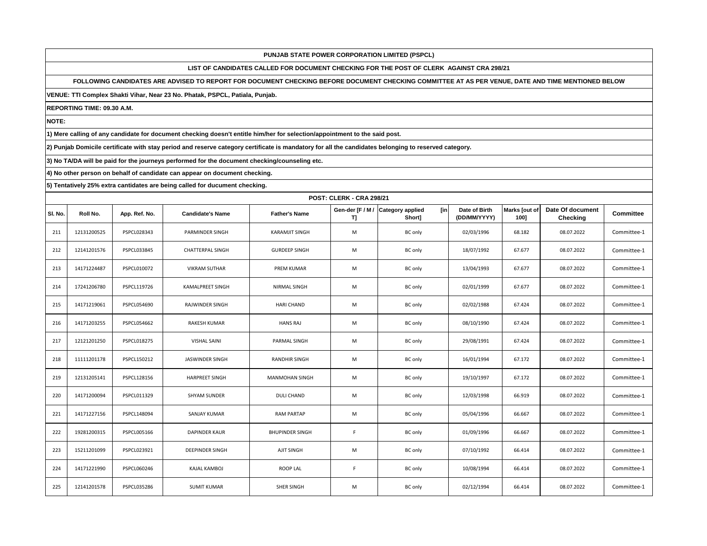# **LIST OF CANDIDATES CALLED FOR DOCUMENT CHECKING FOR THE POST OF CLERK AGAINST CRA 298/21**

## **FOLLOWING CANDIDATES ARE ADVISED TO REPORT FOR DOCUMENT CHECKING BEFORE DOCUMENT CHECKING COMMITTEE AT AS PER VENUE, DATE AND TIME MENTIONED BELOW**

#### **VENUE: TTI Complex Shakti Vihar, Near 23 No. Phatak, PSPCL, Patiala, Punjab.**

**REPORTING TIME: 09.30 A.M.**

**NOTE:**

**1) Mere calling of any candidate for document checking doesn't entitle him/her for selection/appointment to the said post.**

**2) Punjab Domicile certificate with stay period and reserve category certificate is mandatory for all the candidates belonging to reserved category.**

**3) No TA/DA will be paid for the journeys performed for the document checking/counseling etc.**

**4) No other person on behalf of candidate can appear on document checking.**

|         | <b>POST: CLERK - CRA 298/21</b> |               |                         |                        |     |                                                    |                               |                       |                              |                  |  |
|---------|---------------------------------|---------------|-------------------------|------------------------|-----|----------------------------------------------------|-------------------------------|-----------------------|------------------------------|------------------|--|
| SI. No. | Roll No.                        | App. Ref. No. | <b>Candidate's Name</b> | <b>Father's Name</b>   | TJ. | Gen-der [F / M / Category applied<br>[in<br>Short] | Date of Birth<br>(DD/MM/YYYY) | Marks [out of<br>100] | Date Of document<br>Checking | <b>Committee</b> |  |
| 211     | 12131200525                     | PSPCL028343   | PARMINDER SINGH         | <b>KARAMJIT SINGH</b>  | M   | <b>BC</b> only                                     | 02/03/1996                    | 68.182                | 08.07.2022                   | Committee-1      |  |
| 212     | 12141201576                     | PSPCL033845   | <b>CHATTERPAL SINGH</b> | <b>GURDEEP SINGH</b>   | M   | <b>BC</b> only                                     | 18/07/1992                    | 67.677                | 08.07.2022                   | Committee-1      |  |
| 213     | 14171224487                     | PSPCL010072   | <b>VIKRAM SUTHAR</b>    | <b>PREM KUMAR</b>      | M   | <b>BC</b> only                                     | 13/04/1993                    | 67.677                | 08.07.2022                   | Committee-1      |  |
| 214     | 17241206780                     | PSPCL119726   | KAMALPREET SINGH        | NIRMAL SINGH           | M   | <b>BC</b> only                                     | 02/01/1999                    | 67.677                | 08.07.2022                   | Committee-1      |  |
| 215     | 14171219061                     | PSPCL054690   | RAJWINDER SINGH         | <b>HARI CHAND</b>      | M   | <b>BC</b> only                                     | 02/02/1988                    | 67.424                | 08.07.2022                   | Committee-1      |  |
| 216     | 14171203255                     | PSPCL054662   | RAKESH KUMAR            | <b>HANS RAJ</b>        | M   | <b>BC</b> only                                     | 08/10/1990                    | 67.424                | 08.07.2022                   | Committee-1      |  |
| 217     | 12121201250                     | PSPCL018275   | <b>VISHAL SAINI</b>     | PARMAL SINGH           | M   | <b>BC</b> only                                     | 29/08/1991                    | 67.424                | 08.07.2022                   | Committee-1      |  |
| 218     | 11111201178                     | PSPCL150212   | <b>JASWINDER SINGH</b>  | <b>RANDHIR SINGH</b>   | M   | <b>BC</b> only                                     | 16/01/1994                    | 67.172                | 08.07.2022                   | Committee-1      |  |
| 219     | 12131205141                     | PSPCL128156   | <b>HARPREET SINGH</b>   | <b>MANMOHAN SINGH</b>  | M   | <b>BC</b> only                                     | 19/10/1997                    | 67.172                | 08.07.2022                   | Committee-1      |  |
| 220     | 14171200094                     | PSPCL011329   | <b>SHYAM SUNDER</b>     | <b>DULI CHAND</b>      | M   | <b>BC</b> only                                     | 12/03/1998                    | 66.919                | 08.07.2022                   | Committee-1      |  |
| 221     | 14171227156                     | PSPCL148094   | <b>SANJAY KUMAR</b>     | <b>RAM PARTAP</b>      | M   | BC only                                            | 05/04/1996                    | 66.667                | 08.07.2022                   | Committee-1      |  |
| 222     | 19281200315                     | PSPCL005166   | <b>DAPINDER KAUR</b>    | <b>BHUPINDER SINGH</b> | F.  | <b>BC</b> only                                     | 01/09/1996                    | 66.667                | 08.07.2022                   | Committee-1      |  |
| 223     | 15211201099                     | PSPCL023921   | <b>DEEPINDER SINGH</b>  | AJIT SINGH             | M   | <b>BC</b> only                                     | 07/10/1992                    | 66.414                | 08.07.2022                   | Committee-1      |  |
| 224     | 14171221990                     | PSPCL060246   | <b>KAJAL KAMBOJ</b>     | <b>ROOP LAL</b>        | F.  | <b>BC</b> only                                     | 10/08/1994                    | 66.414                | 08.07.2022                   | Committee-1      |  |
| 225     | 12141201578                     | PSPCL035286   | <b>SUMIT KUMAR</b>      | SHER SINGH             | M   | <b>BC</b> only                                     | 02/12/1994                    | 66.414                | 08.07.2022                   | Committee-1      |  |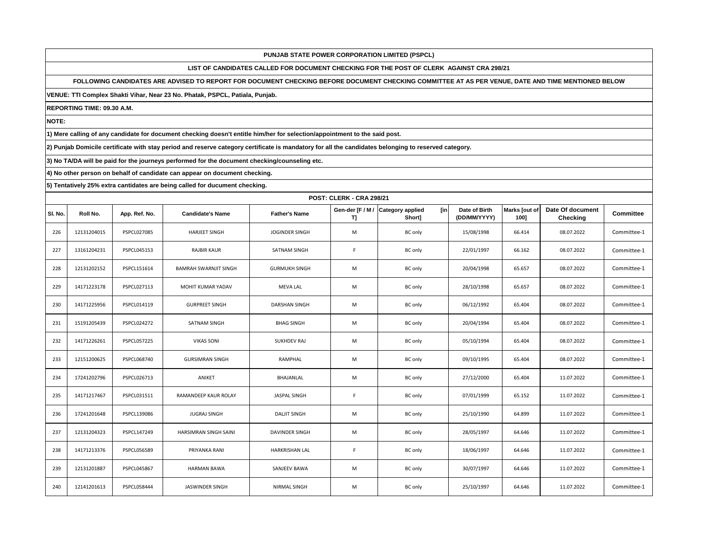# **LIST OF CANDIDATES CALLED FOR DOCUMENT CHECKING FOR THE POST OF CLERK AGAINST CRA 298/21**

# **FOLLOWING CANDIDATES ARE ADVISED TO REPORT FOR DOCUMENT CHECKING BEFORE DOCUMENT CHECKING COMMITTEE AT AS PER VENUE, DATE AND TIME MENTIONED BELOW**

#### **VENUE: TTI Complex Shakti Vihar, Near 23 No. Phatak, PSPCL, Patiala, Punjab.**

**REPORTING TIME: 09.30 A.M.**

**NOTE:**

**1) Mere calling of any candidate for document checking doesn't entitle him/her for selection/appointment to the said post.**

**2) Punjab Domicile certificate with stay period and reserve category certificate is mandatory for all the candidates belonging to reserved category.**

**3) No TA/DA will be paid for the journeys performed for the document checking/counseling etc.**

**4) No other person on behalf of candidate can appear on document checking.**

|         | <b>POST: CLERK - CRA 298/21</b> |                    |                         |                      |     |                                                    |                               |                       |                              |                  |  |
|---------|---------------------------------|--------------------|-------------------------|----------------------|-----|----------------------------------------------------|-------------------------------|-----------------------|------------------------------|------------------|--|
| SI. No. | Roll No.                        | App. Ref. No.      | <b>Candidate's Name</b> | <b>Father's Name</b> | TJ. | Gen-der [F / M / Category applied<br>[in<br>Short] | Date of Birth<br>(DD/MM/YYYY) | Marks [out of<br>100] | Date Of document<br>Checking | <b>Committee</b> |  |
| 226     | 12131204015                     | PSPCL027085        | <b>HARJEET SINGH</b>    | JOGINDER SINGH       | M   | <b>BC</b> only                                     | 15/08/1998                    | 66.414                | 08.07.2022                   | Committee-1      |  |
| 227     | 13161204231                     | PSPCL045153        | <b>RAJBIR KAUR</b>      | <b>SATNAM SINGH</b>  | F.  | <b>BC</b> only                                     | 22/01/1997                    | 66.162                | 08.07.2022                   | Committee-1      |  |
| 228     | 12131202152                     | PSPCL151614        | BAMRAH SWARNJIT SINGH   | <b>GURMUKH SINGH</b> | M   | <b>BC</b> only                                     | 20/04/1998                    | 65.657                | 08.07.2022                   | Committee-1      |  |
| 229     | 14171223178                     | PSPCL027113        | MOHIT KUMAR YADAV       | <b>MEVA LAL</b>      | M   | <b>BC</b> only                                     | 28/10/1998                    | 65.657                | 08.07.2022                   | Committee-1      |  |
| 230     | 14171225956                     | PSPCL014119        | <b>GURPREET SINGH</b>   | DARSHAN SINGH        | M   | <b>BC</b> only                                     | 06/12/1992                    | 65.404                | 08.07.2022                   | Committee-1      |  |
| 231     | 15191205439                     | PSPCL024272        | SATNAM SINGH            | <b>BHAG SINGH</b>    | M   | <b>BC</b> only                                     | 20/04/1994                    | 65.404                | 08.07.2022                   | Committee-1      |  |
| 232     | 14171226261                     | <b>PSPCL057225</b> | <b>VIKAS SONI</b>       | <b>SUKHDEV RAJ</b>   | M   | <b>BC</b> only                                     | 05/10/1994                    | 65.404                | 08.07.2022                   | Committee-1      |  |
| 233     | 12151200625                     | PSPCL068740        | <b>GURSIMRAN SINGH</b>  | RAMPHAL              | M   | <b>BC</b> only                                     | 09/10/1995                    | 65.404                | 08.07.2022                   | Committee-1      |  |
| 234     | 17241202796                     | PSPCL026713        | ANIKET                  | BHAJANLAL            | M   | <b>BC</b> only                                     | 27/12/2000                    | 65.404                | 11.07.2022                   | Committee-1      |  |
| 235     | 14171217467                     | PSPCL031511        | RAMANDEEP KAUR ROLAY    | <b>JASPAL SINGH</b>  | F.  | <b>BC</b> only                                     | 07/01/1999                    | 65.152                | 11.07.2022                   | Committee-1      |  |
| 236     | 17241201648                     | PSPCL139086        | <b>JUGRAJ SINGH</b>     | <b>DALJIT SINGH</b>  | M   | BC only                                            | 25/10/1990                    | 64.899                | 11.07.2022                   | Committee-1      |  |
| 237     | 12131204323                     | PSPCL147249        | HARSIMRAN SINGH SAINI   | DAVINDER SINGH       | M   | <b>BC</b> only                                     | 28/05/1997                    | 64.646                | 11.07.2022                   | Committee-1      |  |
| 238     | 14171213376                     | PSPCL056589        | PRIYANKA RANI           | HARKRISHAN LAL       | F.  | <b>BC</b> only                                     | 18/06/1997                    | 64.646                | 11.07.2022                   | Committee-1      |  |
| 239     | 12131201887                     | PSPCL045867        | <b>HARMAN BAWA</b>      | SANJEEV BAWA         | M   | <b>BC</b> only                                     | 30/07/1997                    | 64.646                | 11.07.2022                   | Committee-1      |  |
| 240     | 12141201613                     | PSPCL058444        | <b>JASWINDER SINGH</b>  | NIRMAL SINGH         | M   | <b>BC</b> only                                     | 25/10/1997                    | 64.646                | 11.07.2022                   | Committee-1      |  |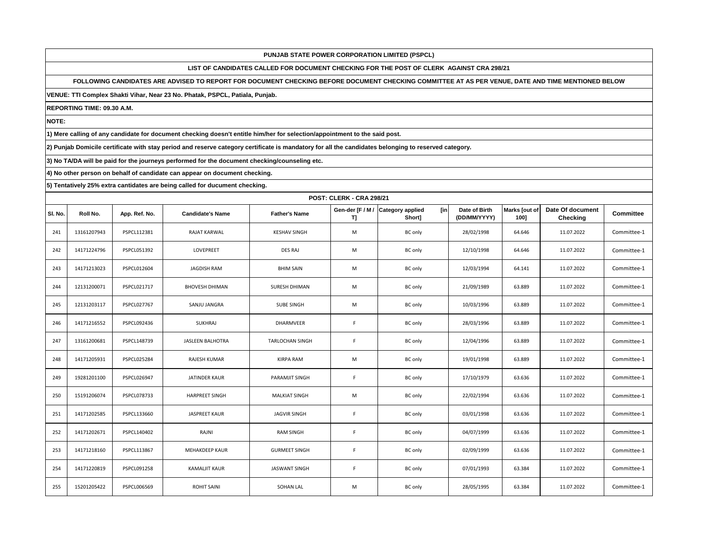# **LIST OF CANDIDATES CALLED FOR DOCUMENT CHECKING FOR THE POST OF CLERK AGAINST CRA 298/21**

# **FOLLOWING CANDIDATES ARE ADVISED TO REPORT FOR DOCUMENT CHECKING BEFORE DOCUMENT CHECKING COMMITTEE AT AS PER VENUE, DATE AND TIME MENTIONED BELOW**

**VENUE: TTI Complex Shakti Vihar, Near 23 No. Phatak, PSPCL, Patiala, Punjab.**

**REPORTING TIME: 09.30 A.M.**

**NOTE:**

**1) Mere calling of any candidate for document checking doesn't entitle him/her for selection/appointment to the said post.**

**2) Punjab Domicile certificate with stay period and reserve category certificate is mandatory for all the candidates belonging to reserved category.**

**3) No TA/DA will be paid for the journeys performed for the document checking/counseling etc.**

**4) No other person on behalf of candidate can appear on document checking.**

|         | <b>POST: CLERK - CRA 298/21</b> |                    |                         |                        |                        |                                          |                               |                       |                                     |                  |  |
|---------|---------------------------------|--------------------|-------------------------|------------------------|------------------------|------------------------------------------|-------------------------------|-----------------------|-------------------------------------|------------------|--|
| SI. No. | Roll No.                        | App. Ref. No.      | <b>Candidate's Name</b> | <b>Father's Name</b>   | Gen-der [F / M /<br>T] | [in<br><b>Category applied</b><br>Short] | Date of Birth<br>(DD/MM/YYYY) | Marks [out of<br>100] | Date Of document<br><b>Checking</b> | <b>Committee</b> |  |
| 241     | 13161207943                     | PSPCL112381        | <b>RAJAT KARWAL</b>     | <b>KESHAV SINGH</b>    | M                      | <b>BC</b> only                           | 28/02/1998                    | 64.646                | 11.07.2022                          | Committee-1      |  |
| 242     | 14171224796                     | PSPCL051392        | <b>LOVEPREET</b>        | DES RAJ                | M                      | <b>BC</b> only                           | 12/10/1998                    | 64.646                | 11.07.2022                          | Committee-1      |  |
| 243     | 14171213023                     | PSPCL012604        | <b>JAGDISH RAM</b>      | <b>BHIM SAIN</b>       | M                      | <b>BC</b> only                           | 12/03/1994                    | 64.141                | 11.07.2022                          | Committee-1      |  |
| 244     | 12131200071                     | PSPCL021717        | <b>BHOVESH DHIMAN</b>   | SURESH DHIMAN          | M                      | <b>BC</b> only                           | 21/09/1989                    | 63.889                | 11.07.2022                          | Committee-1      |  |
| 245     | 12131203117                     | <b>PSPCL027767</b> | SANJU JANGRA            | <b>SUBE SINGH</b>      | M                      | <b>BC</b> only                           | 10/03/1996                    | 63.889                | 11.07.2022                          | Committee-1      |  |
| 246     | 14171216552                     | PSPCL092436        | SUKHRAJ                 | DHARMVEER              | F.                     | <b>BC</b> only                           | 28/03/1996                    | 63.889                | 11.07.2022                          | Committee-1      |  |
| 247     | 13161200681                     | PSPCL148739        | <b>JASLEEN BALHOTRA</b> | <b>TARLOCHAN SINGH</b> | F.                     | <b>BC</b> only                           | 12/04/1996                    | 63.889                | 11.07.2022                          | Committee-1      |  |
| 248     | 14171205931                     | PSPCL025284        | RAJESH KUMAR            | KIRPA RAM              | M                      | <b>BC</b> only                           | 19/01/1998                    | 63.889                | 11.07.2022                          | Committee-1      |  |
| 249     | 19281201100                     | PSPCL026947        | <b>JATINDER KAUR</b>    | PARAMJIT SINGH         | F.                     | <b>BC</b> only                           | 17/10/1979                    | 63.636                | 11.07.2022                          | Committee-1      |  |
| 250     | 15191206074                     | <b>PSPCL078733</b> | <b>HARPREET SINGH</b>   | <b>MALKIAT SINGH</b>   | M                      | <b>BC</b> only                           | 22/02/1994                    | 63.636                | 11.07.2022                          | Committee-1      |  |
| 251     | 14171202585                     | PSPCL133660        | <b>JASPREET KAUR</b>    | <b>JAGVIR SINGH</b>    | F.                     | <b>BC</b> only                           | 03/01/1998                    | 63.636                | 11.07.2022                          | Committee-1      |  |
| 252     | 14171202671                     | PSPCL140402        | RAJNI                   | <b>RAM SINGH</b>       | F.                     | <b>BC</b> only                           | 04/07/1999                    | 63.636                | 11.07.2022                          | Committee-1      |  |
| 253     | 14171218160                     | PSPCL113867        | <b>MEHAKDEEP KAUR</b>   | <b>GURMEET SINGH</b>   | F.                     | <b>BC</b> only                           | 02/09/1999                    | 63.636                | 11.07.2022                          | Committee-1      |  |
| 254     | 14171220819                     | PSPCL091258        | <b>KAMALJIT KAUR</b>    | <b>JASWANT SINGH</b>   | F.                     | <b>BC</b> only                           | 07/01/1993                    | 63.384                | 11.07.2022                          | Committee-1      |  |
| 255     | 15201205422                     | PSPCL006569        | <b>ROHIT SAINI</b>      | <b>SOHAN LAL</b>       | M                      | <b>BC</b> only                           | 28/05/1995                    | 63.384                | 11.07.2022                          | Committee-1      |  |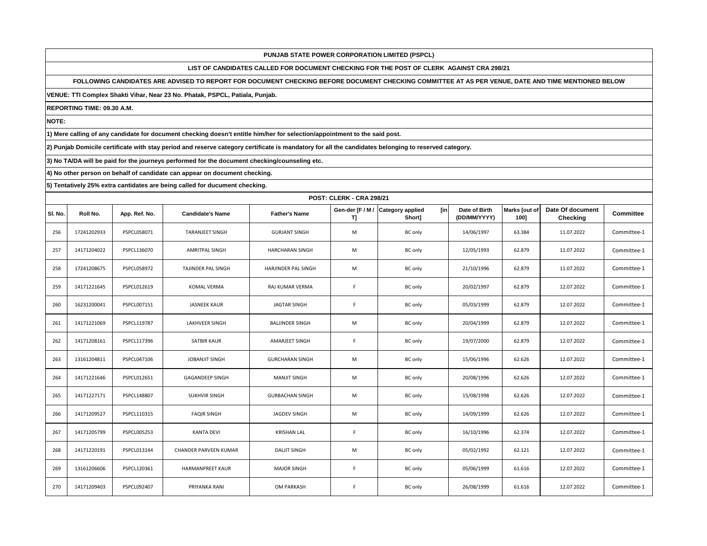# **LIST OF CANDIDATES CALLED FOR DOCUMENT CHECKING FOR THE POST OF CLERK AGAINST CRA 298/21**

## **FOLLOWING CANDIDATES ARE ADVISED TO REPORT FOR DOCUMENT CHECKING BEFORE DOCUMENT CHECKING COMMITTEE AT AS PER VENUE, DATE AND TIME MENTIONED BELOW**

**VENUE: TTI Complex Shakti Vihar, Near 23 No. Phatak, PSPCL, Patiala, Punjab.**

**REPORTING TIME: 09.30 A.M.**

**NOTE:**

**1) Mere calling of any candidate for document checking doesn't entitle him/her for selection/appointment to the said post.**

**2) Punjab Domicile certificate with stay period and reserve category certificate is mandatory for all the candidates belonging to reserved category.**

**3) No TA/DA will be paid for the journeys performed for the document checking/counseling etc.**

**4) No other person on behalf of candidate can appear on document checking.**

|         | <b>POST: CLERK - CRA 298/21</b> |                    |                         |                            |                       |                                          |                               |                       |                                     |                  |  |
|---------|---------------------------------|--------------------|-------------------------|----------------------------|-----------------------|------------------------------------------|-------------------------------|-----------------------|-------------------------------------|------------------|--|
| SI. No. | Roll No.                        | App. Ref. No.      | <b>Candidate's Name</b> | <b>Father's Name</b>       | Gen-der [F / M /<br>ŋ | [in<br><b>Category applied</b><br>Short] | Date of Birth<br>(DD/MM/YYYY) | Marks [out of<br>100] | Date Of document<br><b>Checking</b> | <b>Committee</b> |  |
| 256     | 17241202933                     | PSPCL058071        | <b>TARANJEET SINGH</b>  | <b>GURJANT SINGH</b>       | M                     | <b>BC</b> only                           | 14/06/1997                    | 63.384                | 11.07.2022                          | Committee-1      |  |
| 257     | 14171204022                     | PSPCL136070        | <b>AMRITPAL SINGH</b>   | <b>HARCHARAN SINGH</b>     | M                     | <b>BC</b> only                           | 12/05/1993                    | 62.879                | 11.07.2022                          | Committee-1      |  |
| 258     | 17241208675                     | <b>PSPCL058972</b> | TAJINDER PAL SINGH      | <b>HARJINDER PAL SINGH</b> | M                     | <b>BC</b> only                           | 21/10/1996                    | 62.879                | 11.07.2022                          | Committee-1      |  |
| 259     | 14171221645                     | PSPCL012619        | <b>KOMAL VERMA</b>      | RAJ KUMAR VERMA            | F.                    | BC only                                  | 20/02/1997                    | 62.879                | 12.07.2022                          | Committee-1      |  |
| 260     | 16231200041                     | PSPCL007151        | <b>JASNEEK KAUR</b>     | <b>JAGTAR SINGH</b>        | F.                    | <b>BC</b> only                           | 05/03/1999                    | 62.879                | 12.07.2022                          | Committee-1      |  |
| 261     | 14171221069                     | PSPCL119787        | LAKHVEER SINGH          | <b>BALJINDER SINGH</b>     | M                     | <b>BC</b> only                           | 20/04/1999                    | 62.879                | 12.07.2022                          | Committee-1      |  |
| 262     | 14171208161                     | PSPCL117396        | <b>SATBIR KAUR</b>      | <b>AMARJEET SINGH</b>      | F.                    | <b>BC</b> only                           | 19/07/2000                    | 62.879                | 12.07.2022                          | Committee-1      |  |
| 263     | 13161204811                     | PSPCL047106        | <b>JOBANJIT SINGH</b>   | <b>GURCHARAN SINGH</b>     | M                     | <b>BC</b> only                           | 15/06/1996                    | 62.626                | 12.07.2022                          | Committee-1      |  |
| 264     | 14171221646                     | PSPCL012651        | <b>GAGANDEEP SINGH</b>  | <b>MANJIT SINGH</b>        | M                     | <b>BC</b> only                           | 20/08/1996                    | 62.626                | 12.07.2022                          | Committee-1      |  |
| 265     | 14171227171                     | PSPCL148807        | <b>SUKHVIR SINGH</b>    | <b>GURBACHAN SINGH</b>     | M                     | <b>BC</b> only                           | 15/08/1998                    | 62.626                | 12.07.2022                          | Committee-1      |  |
| 266     | 14171209527                     | PSPCL110315        | <b>FAQIR SINGH</b>      | JAGDEV SINGH               | M                     | <b>BC</b> only                           | 14/09/1999                    | 62.626                | 12.07.2022                          | Committee-1      |  |
| 267     | 14171205799                     | PSPCL005253        | <b>KANTA DEVI</b>       | <b>KRISHAN LAL</b>         | F                     | <b>BC</b> only                           | 16/10/1996                    | 62.374                | 12.07.2022                          | Committee-1      |  |
| 268     | 14171220191                     | PSPCL013144        | CHANDER PARVEEN KUMAR   | <b>DALIT SINGH</b>         | M                     | <b>BC</b> only                           | 05/02/1992                    | 62.121                | 12.07.2022                          | Committee-1      |  |
| 269     | 13161206606                     | PSPCL120361        | <b>HARMANPREET KAUR</b> | <b>MAJOR SINGH</b>         | F                     | <b>BC</b> only                           | 05/06/1999                    | 61.616                | 12.07.2022                          | Committee-1      |  |
| 270     | 14171209403                     | PSPCL092407        | PRIYANKA RANI           | <b>OM PARKASH</b>          | F                     | <b>BC</b> only                           | 26/08/1999                    | 61.616                | 12.07.2022                          | Committee-1      |  |